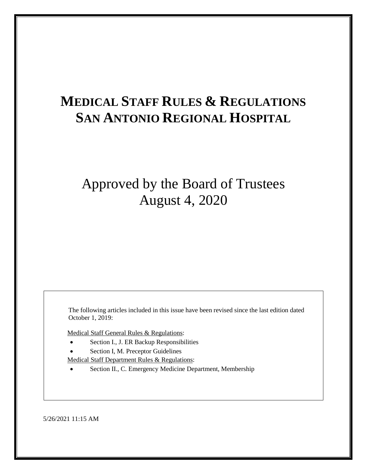# **MEDICAL STAFF RULES & REGULATIONS SAN ANTONIO REGIONAL HOSPITAL**

# Approved by the Board of Trustees August 4, 2020

The following articles included in this issue have been revised since the last edition dated October 1, 2019:

Medical Staff General Rules & Regulations:

- Section I., J. ER Backup Responsibilities
- Section I, M. Preceptor Guidelines

Medical Staff Department Rules & Regulations:

Section II., C. Emergency Medicine Department, Membership

5/26/2021 11:15 AM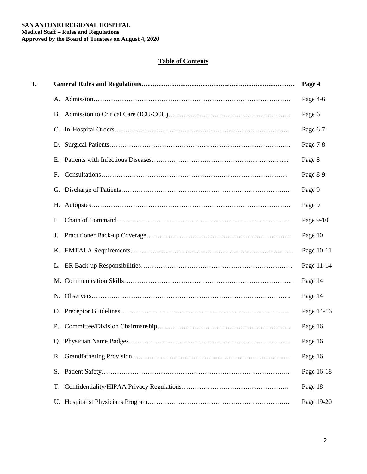# **Table of Contents**

| I. |    | Page 4     |
|----|----|------------|
|    |    | Page 4-6   |
|    |    | Page 6     |
|    |    | Page 6-7   |
|    |    | Page 7-8   |
|    |    | Page 8     |
|    | F. | Page 8-9   |
|    |    | Page 9     |
|    |    | Page 9     |
|    | I. | Page 9-10  |
|    | J. | Page 10    |
|    |    | Page 10-11 |
|    |    | Page 11-14 |
|    |    | Page 14    |
|    |    | Page 14    |
|    |    | Page 14-16 |
|    | P. | Page 16    |
|    |    | Page 16    |
|    |    | Page 16    |
|    | S. | Page 16-18 |
|    | T. | Page 18    |
|    |    | Page 19-20 |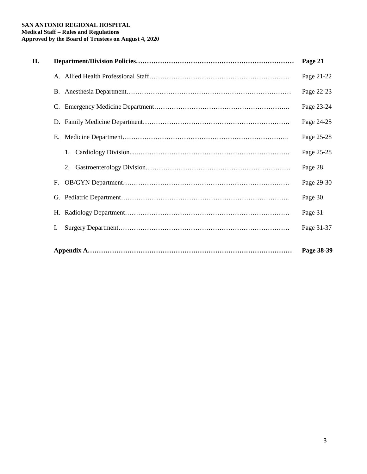# **SAN ANTONIO REGIONAL HOSPITAL Medical Staff – Rules and Regulations Approved by the Board of Trustees on August 4, 2020**

| П. |    | Page 21    |
|----|----|------------|
|    |    | Page 21-22 |
|    |    | Page 22-23 |
|    |    | Page 23-24 |
|    |    | Page 24-25 |
|    |    | Page 25-28 |
|    | 1. | Page 25-28 |
|    | 2. | Page 28    |
|    | F. | Page 29-30 |
|    |    | Page 30    |
|    |    | Page 31    |
|    | Ι. | Page 31-37 |
|    |    | Page 38-39 |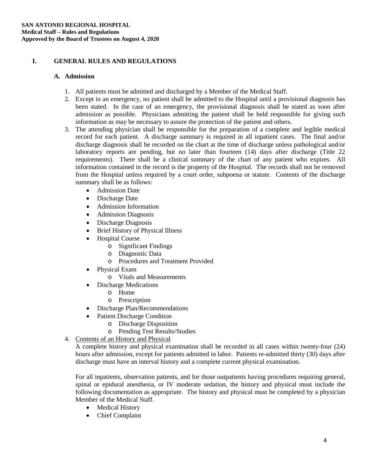# **I. GENERAL RULES AND REGULATIONS**

# **A. Admission**

- 1. All patients must be admitted and discharged by a Member of the Medical Staff.
- 2. Except in an emergency, no patient shall be admitted to the Hospital until a provisional diagnosis has been stated. In the case of an emergency, the provisional diagnosis shall be stated as soon after admission as possible. Physicians admitting the patient shall be held responsible for giving such information as may be necessary to assure the protection of the patient and others.
- 3. The attending physician shall be responsible for the preparation of a complete and legible medical record for each patient. A discharge summary is required in all inpatient cases. The final and/or discharge diagnosis shall be recorded on the chart at the time of discharge unless pathological and/or laboratory reports are pending, but no later than fourteen (14) days after discharge (Title 22 requirements). There shall be a clinical summary of the chart of any patient who expires. All information contained in the record is the property of the Hospital. The records shall not be removed from the Hospital unless required by a court order, subpoena or statute. Contents of the discharge summary shall be as follows:
	- Admission Date
	- Discharge Date
	- Admission Information
	- Admission Diagnosis
	- Discharge Diagnosis
	- Brief History of Physical Illness
	- **Hospital Course** 
		- o Significant Findings
		- o Diagnostic Data
		- o Procedures and Treatment Provided
	- Physical Exam
		- o Vitals and Measurements
	- Discharge Medications
		- o Home
		- o Prescription
	- Discharge Plan/Recommendations
	- Patient Discharge Condition
		- o Discharge Disposition
		- o Pending Test Results/Studies
- 4. Contents of an History and Physical

A complete history and physical examination shall be recorded in all cases within twenty-four (24) hours after admission, except for patients admitted in labor. Patients re-admitted thirty (30) days after discharge must have an interval history and a complete current physical examination.

For all inpatients, observation patients, and for those outpatients having procedures requiring general, spinal or epidural anesthesia, or IV moderate sedation, the history and physical must include the following documentation as appropriate. The history and physical must be completed by a physician Member of the Medical Staff.

- Medical History
- Chief Complaint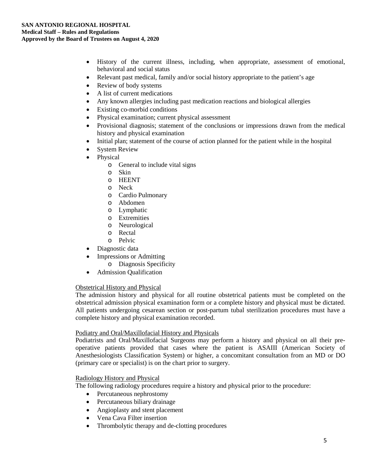- History of the current illness, including, when appropriate, assessment of emotional, behavioral and social status
- Relevant past medical, family and/or social history appropriate to the patient's age
- Review of body systems
- A list of current medications
- Any known allergies including past medication reactions and biological allergies
- Existing co-morbid conditions
- Physical examination; current physical assessment
- Provisional diagnosis; statement of the conclusions or impressions drawn from the medical history and physical examination
- Initial plan; statement of the course of action planned for the patient while in the hospital
- **System Review**
- Physical
	- o General to include vital signs
	- o Skin
	- o HEENT
	- o Neck
	- o Cardio Pulmonary
	- o Abdomen
	- o Lymphatic
	- o Extremities
	- o Neurological
	- o Rectal
	- o Pelvic
- Diagnostic data
- Impressions or Admitting
	- o Diagnosis Specificity
- Admission Qualification

# Obstetrical History and Physical

The admission history and physical for all routine obstetrical patients must be completed on the obstetrical admission physical examination form or a complete history and physical must be dictated. All patients undergoing cesarean section or post-partum tubal sterilization procedures must have a complete history and physical examination recorded.

# Podiatry and Oral/Maxillofacial History and Physicals

Podiatrists and Oral/Maxillofacial Surgeons may perform a history and physical on all their preoperative patients provided that cases where the patient is ASAIII (American Society of Anesthesiologists Classification System) or higher, a concomitant consultation from an MD or DO (primary care or specialist) is on the chart prior to surgery.

# Radiology History and Physical

The following radiology procedures require a history and physical prior to the procedure:

- Percutaneous nephrostomy
- Percutaneous biliary drainage
- Angioplasty and stent placement
- Vena Cava Filter insertion
- Thrombolytic therapy and de-clotting procedures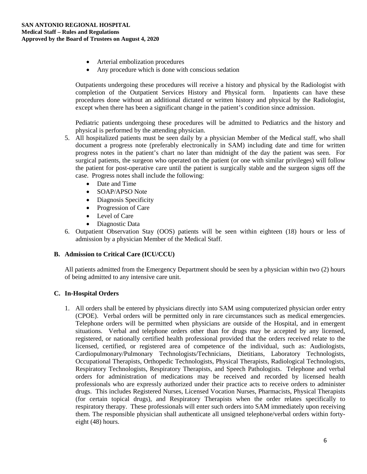- Arterial embolization procedures
- Any procedure which is done with conscious sedation

Outpatients undergoing these procedures will receive a history and physical by the Radiologist with completion of the Outpatient Services History and Physical form. Inpatients can have these procedures done without an additional dictated or written history and physical by the Radiologist, except when there has been a significant change in the patient's condition since admission.

Pediatric patients undergoing these procedures will be admitted to Pediatrics and the history and physical is performed by the attending physician.

- 5. All hospitalized patients must be seen daily by a physician Member of the Medical staff, who shall document a progress note (preferably electronically in SAM) including date and time for written progress notes in the patient's chart no later than midnight of the day the patient was seen. For surgical patients, the surgeon who operated on the patient (or one with similar privileges) will follow the patient for post-operative care until the patient is surgically stable and the surgeon signs off the case. Progress notes shall include the following:
	- Date and Time
	- SOAP/APSO Note
	- Diagnosis Specificity
	- Progression of Care
	- Level of Care
	- Diagnostic Data
- 6. Outpatient Observation Stay (OOS) patients will be seen within eighteen (18) hours or less of admission by a physician Member of the Medical Staff.

# **B. Admission to Critical Care (ICU/CCU)**

All patients admitted from the Emergency Department should be seen by a physician within two (2) hours of being admitted to any intensive care unit.

# **C. In-Hospital Orders**

1. All orders shall be entered by physicians directly into SAM using computerized physician order entry (CPOE). Verbal orders will be permitted only in rare circumstances such as medical emergencies. Telephone orders will be permitted when physicians are outside of the Hospital, and in emergent situations. Verbal and telephone orders other than for drugs may be accepted by any licensed, registered, or nationally certified health professional provided that the orders received relate to the licensed, certified, or registered area of competence of the individual, such as: Audiologists, Cardiopulmonary/Pulmonary Technologists/Technicians, Dietitians, Laboratory Technologists, Occupational Therapists, Orthopedic Technologists, Physical Therapists, Radiological Technologists, Respiratory Technologists, Respiratory Therapists, and Speech Pathologists. Telephone and verbal orders for administration of medications may be received and recorded by licensed health professionals who are expressly authorized under their practice acts to receive orders to administer drugs. This includes Registered Nurses, Licensed Vocation Nurses, Pharmacists, Physical Therapists (for certain topical drugs), and Respiratory Therapists when the order relates specifically to respiratory therapy. These professionals will enter such orders into SAM immediately upon receiving them. The responsible physician shall authenticate all unsigned telephone/verbal orders within fortyeight (48) hours.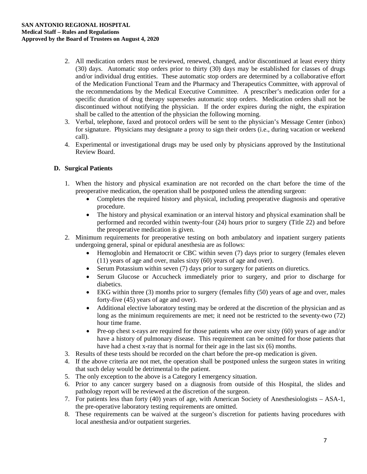- 2. All medication orders must be reviewed, renewed, changed, and/or discontinued at least every thirty (30) days. Automatic stop orders prior to thirty (30) days may be established for classes of drugs and/or individual drug entities. These automatic stop orders are determined by a collaborative effort of the Medication Functional Team and the Pharmacy and Therapeutics Committee, with approval of the recommendations by the Medical Executive Committee. A prescriber's medication order for a specific duration of drug therapy supersedes automatic stop orders. Medication orders shall not be discontinued without notifying the physician. If the order expires during the night, the expiration shall be called to the attention of the physician the following morning.
- 3. Verbal, telephone, faxed and protocol orders will be sent to the physician's Message Center (inbox) for signature. Physicians may designate a proxy to sign their orders (i.e., during vacation or weekend call).
- 4. Experimental or investigational drugs may be used only by physicians approved by the Institutional Review Board.

# **D. Surgical Patients**

- 1. When the history and physical examination are not recorded on the chart before the time of the preoperative medication, the operation shall be postponed unless the attending surgeon:
	- Completes the required history and physical, including preoperative diagnosis and operative procedure.
	- The history and physical examination or an interval history and physical examination shall be performed and recorded within twenty-four (24) hours prior to surgery (Title 22) and before the preoperative medication is given.
- 2. Minimum requirements for preoperative testing on both ambulatory and inpatient surgery patients undergoing general, spinal or epidural anesthesia are as follows:
	- Hemoglobin and Hematocrit or CBC within seven (7) days prior to surgery (females eleven (11) years of age and over, males sixty (60) years of age and over).
	- Serum Potassium within seven (7) days prior to surgery for patients on diuretics.
	- Serum Glucose or Accucheck immediately prior to surgery, and prior to discharge for diabetics.
	- EKG within three (3) months prior to surgery (females fifty (50) years of age and over, males forty-five (45) years of age and over).
	- Additional elective laboratory testing may be ordered at the discretion of the physician and as long as the minimum requirements are met; it need not be restricted to the seventy-two (72) hour time frame.
	- Pre-op chest x-rays are required for those patients who are over sixty (60) years of age and/or have a history of pulmonary disease. This requirement can be omitted for those patients that have had a chest x-ray that is normal for their age in the last six (6) months.
- 3. Results of these tests should be recorded on the chart before the pre-op medication is given.
- 4. If the above criteria are not met, the operation shall be postponed unless the surgeon states in writing that such delay would be detrimental to the patient.
- 5. The only exception to the above is a Category I emergency situation.
- 6. Prior to any cancer surgery based on a diagnosis from outside of this Hospital, the slides and pathology report will be reviewed at the discretion of the surgeon.
- 7. For patients less than forty (40) years of age, with American Society of Anesthesiologists ASA-1, the pre-operative laboratory testing requirements are omitted.
- 8. These requirements can be waived at the surgeon's discretion for patients having procedures with local anesthesia and/or outpatient surgeries.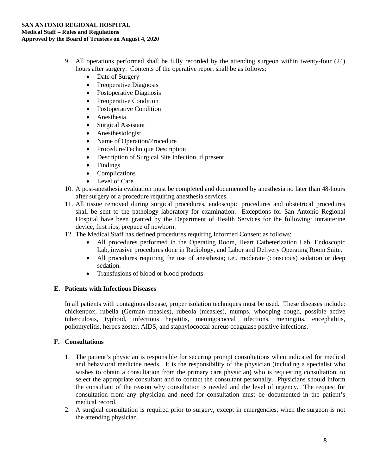- 9. All operations performed shall be fully recorded by the attending surgeon within twenty-four (24) hours after surgery. Contents of the operative report shall be as follows:
	- Date of Surgery
	- Preoperative Diagnosis
	- Postoperative Diagnosis
	- Preoperative Condition
	- Postoperative Condition
	- Anesthesia
	- Surgical Assistant
	- Anesthesiologist
	- Name of Operation/Procedure
	- Procedure/Technique Description
	- Description of Surgical Site Infection, if present
	- Findings
	- Complications
	- Level of Care
- 10. A post-anesthesia evaluation must be completed and documented by anesthesia no later than 48-hours after surgery or a procedure requiring anesthesia services.
- 11. All tissue removed during surgical procedures, endoscopic procedures and obstetrical procedures shall be sent to the pathology laboratory for examination. Exceptions for San Antonio Regional Hospital have been granted by the Department of Health Services for the following: intrauterine device, first ribs, prepuce of newborn.
- 12. The Medical Staff has defined procedures requiring Informed Consent as follows:
	- All procedures performed in the Operating Room, Heart Catheterization Lab, Endoscopic Lab, invasive procedures done in Radiology, and Labor and Delivery Operating Room Suite.
	- All procedures requiring the use of anesthesia; i.e., moderate (conscious) sedation or deep sedation.
	- Transfusions of blood or blood products.

# **E. Patients with Infectious Diseases**

In all patients with contagious disease, proper isolation techniques must be used. These diseases include: chickenpox, rubella (German measles), rubeola (measles), mumps, whooping cough, possible active tuberculosis, typhoid, infectious hepatitis, meningococcal infections, meningitis, encephalitis, poliomyelitis, herpes zoster, AIDS, and staphylococcal aureus coagulase positive infections.

# **F. Consultations**

- 1. The patient's physician is responsible for securing prompt consultations when indicated for medical and behavioral medicine needs. It is the responsibility of the physician (including a specialist who wishes to obtain a consultation from the primary care physician) who is requesting consultation, to select the appropriate consultant and to contact the consultant personally. Physicians should inform the consultant of the reason why consultation is needed and the level of urgency. The request for consultation from any physician and need for consultation must be documented in the patient's medical record.
- 2. A surgical consultation is required prior to surgery, except in emergencies, when the surgeon is not the attending physician.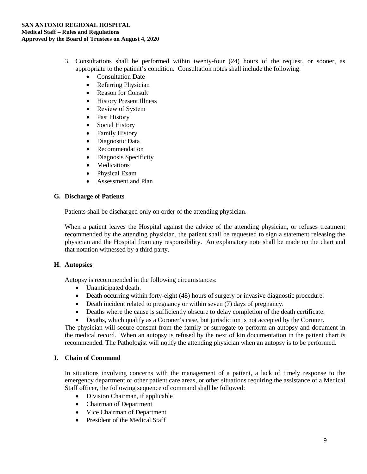- 3. Consultations shall be performed within twenty-four (24) hours of the request, or sooner, as appropriate to the patient's condition. Consultation notes shall include the following:
	- Consultation Date
	- Referring Physician
	- Reason for Consult
	- History Present Illness
	- Review of System
	- Past History
	- Social History
	- Family History
	- Diagnostic Data
	- Recommendation
	- Diagnosis Specificity
	- Medications
	- Physical Exam
	- Assessment and Plan

# **G. Discharge of Patients**

Patients shall be discharged only on order of the attending physician.

When a patient leaves the Hospital against the advice of the attending physician, or refuses treatment recommended by the attending physician, the patient shall be requested to sign a statement releasing the physician and the Hospital from any responsibility. An explanatory note shall be made on the chart and that notation witnessed by a third party.

# **H. Autopsies**

Autopsy is recommended in the following circumstances:

- Unanticipated death.
- Death occurring within forty-eight (48) hours of surgery or invasive diagnostic procedure.
- Death incident related to pregnancy or within seven (7) days of pregnancy.
- Deaths where the cause is sufficiently obscure to delay completion of the death certificate.
- Deaths, which qualify as a Coroner's case, but jurisdiction is not accepted by the Coroner.

The physician will secure consent from the family or surrogate to perform an autopsy and document in the medical record. When an autopsy is refused by the next of kin documentation in the patient chart is recommended. The Pathologist will notify the attending physician when an autopsy is to be performed.

# **I. Chain of Command**

In situations involving concerns with the management of a patient, a lack of timely response to the emergency department or other patient care areas, or other situations requiring the assistance of a Medical Staff officer, the following sequence of command shall be followed:

- Division Chairman, if applicable
- Chairman of Department
- Vice Chairman of Department
- President of the Medical Staff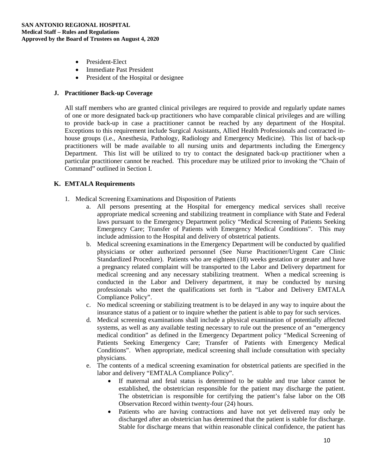- President-Elect
- Immediate Past President
- President of the Hospital or designee

#### **J. Practitioner Back-up Coverage**

All staff members who are granted clinical privileges are required to provide and regularly update names of one or more designated back-up practitioners who have comparable clinical privileges and are willing to provide back-up in case a practitioner cannot be reached by any department of the Hospital. Exceptions to this requirement include Surgical Assistants, Allied Health Professionals and contracted inhouse groups (i.e., Anesthesia, Pathology, Radiology and Emergency Medicine). This list of back-up practitioners will be made available to all nursing units and departments including the Emergency Department. This list will be utilized to try to contact the designated back-up practitioner when a particular practitioner cannot be reached. This procedure may be utilized prior to invoking the "Chain of Command" outlined in Section I.

# **K. EMTALA Requirements**

- 1. Medical Screening Examinations and Disposition of Patients
	- a. All persons presenting at the Hospital for emergency medical services shall receive appropriate medical screening and stabilizing treatment in compliance with State and Federal laws pursuant to the Emergency Department policy "Medical Screening of Patients Seeking Emergency Care; Transfer of Patients with Emergency Medical Conditions". This may include admission to the Hospital and delivery of obstetrical patients.
	- b. Medical screening examinations in the Emergency Department will be conducted by qualified physicians or other authorized personnel (See Nurse Practitioner/Urgent Care Clinic Standardized Procedure). Patients who are eighteen (18) weeks gestation or greater and have a pregnancy related complaint will be transported to the Labor and Delivery department for medical screening and any necessary stabilizing treatment. When a medical screening is conducted in the Labor and Delivery department, it may be conducted by nursing professionals who meet the qualifications set forth in "Labor and Delivery EMTALA Compliance Policy".
	- c. No medical screening or stabilizing treatment is to be delayed in any way to inquire about the insurance status of a patient or to inquire whether the patient is able to pay for such services.
	- d. Medical screening examinations shall include a physical examination of potentially affected systems, as well as any available testing necessary to rule out the presence of an "emergency medical condition" as defined in the Emergency Department policy "Medical Screening of Patients Seeking Emergency Care; Transfer of Patients with Emergency Medical Conditions". When appropriate, medical screening shall include consultation with specialty physicians.
	- e. The contents of a medical screening examination for obstetrical patients are specified in the labor and delivery "EMTALA Compliance Policy".
		- If maternal and fetal status is determined to be stable and true labor cannot be established, the obstetrician responsible for the patient may discharge the patient. The obstetrician is responsible for certifying the patient's false labor on the OB Observation Record within twenty-four (24) hours.
		- Patients who are having contractions and have not yet delivered may only be discharged after an obstetrician has determined that the patient is stable for discharge. Stable for discharge means that within reasonable clinical confidence, the patient has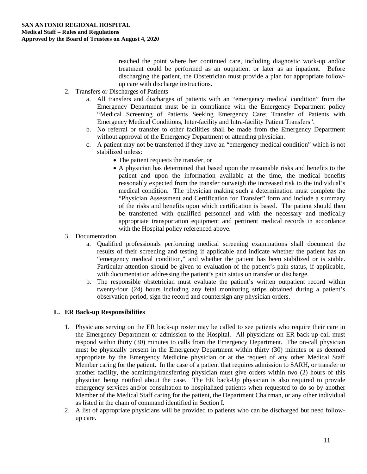reached the point where her continued care, including diagnostic work-up and/or treatment could be performed as an outpatient or later as an inpatient. Before discharging the patient, the Obstetrician must provide a plan for appropriate followup care with discharge instructions.

- 2. Transfers or Discharges of Patients
	- a. All transfers and discharges of patients with an "emergency medical condition" from the Emergency Department must be in compliance with the Emergency Department policy "Medical Screening of Patients Seeking Emergency Care; Transfer of Patients with Emergency Medical Conditions, Inter-facility and Intra-facility Patient Transfers".
	- b. No referral or transfer to other facilities shall be made from the Emergency Department without approval of the Emergency Department or attending physician.
	- c. A patient may not be transferred if they have an "emergency medical condition" which is not stabilized unless:
		- The patient requests the transfer, or
		- A physician has determined that based upon the reasonable risks and benefits to the patient and upon the information available at the time, the medical benefits reasonably expected from the transfer outweigh the increased risk to the individual's medical condition. The physician making such a determination must complete the "Physician Assessment and Certification for Transfer" form and include a summary of the risks and benefits upon which certification is based. The patient should then be transferred with qualified personnel and with the necessary and medically appropriate transportation equipment and pertinent medical records in accordance with the Hospital policy referenced above.
- 3. Documentation
	- a. Qualified professionals performing medical screening examinations shall document the results of their screening and testing if applicable and indicate whether the patient has an "emergency medical condition," and whether the patient has been stabilized or is stable. Particular attention should be given to evaluation of the patient's pain status, if applicable, with documentation addressing the patient's pain status on transfer or discharge.
	- b. The responsible obstetrician must evaluate the patient's written outpatient record within twenty-four (24) hours including any fetal monitoring strips obtained during a patient's observation period, sign the record and countersign any physician orders.

# **L. ER Back-up Responsibilities**

- 1. Physicians serving on the ER back-up roster may be called to see patients who require their care in the Emergency Department or admission to the Hospital. All physicians on ER back-up call must respond within thirty (30) minutes to calls from the Emergency Department. The on-call physician must be physically present in the Emergency Department within thirty (30) minutes or as deemed appropriate by the Emergency Medicine physician or at the request of any other Medical Staff Member caring for the patient. In the case of a patient that requires admission to SARH, or transfer to another facility, the admitting/transferring physician must give orders within two (2) hours of this physician being notified about the case. The ER back-Up physician is also required to provide emergency services and/or consultation to hospitalized patients when requested to do so by another Member of the Medical Staff caring for the patient, the Department Chairman, or any other individual as listed in the chain of command identified in Section I.
- 2. A list of appropriate physicians will be provided to patients who can be discharged but need followup care.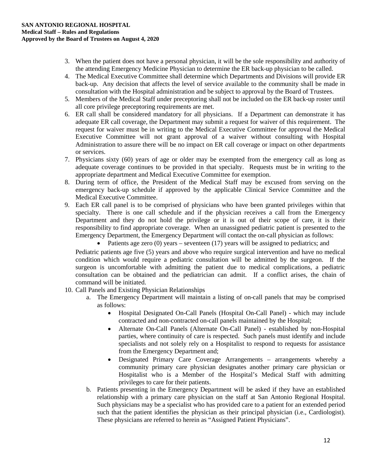- 3. When the patient does not have a personal physician, it will be the sole responsibility and authority of the attending Emergency Medicine Physician to determine the ER back-up physician to be called.
- 4. The Medical Executive Committee shall determine which Departments and Divisions will provide ER back-up. Any decision that affects the level of service available to the community shall be made in consultation with the Hospital administration and be subject to approval by the Board of Trustees.
- 5. Members of the Medical Staff under preceptoring shall not be included on the ER back-up roster until all core privilege preceptoring requirements are met.
- 6. ER call shall be considered mandatory for all physicians. If a Department can demonstrate it has adequate ER call coverage, the Department may submit a request for waiver of this requirement. The request for waiver must be in writing to the Medical Executive Committee for approval the Medical Executive Committee will not grant approval of a waiver without consulting with Hospital Administration to assure there will be no impact on ER call coverage or impact on other departments or services.
- 7. Physicians sixty (60) years of age or older may be exempted from the emergency call as long as adequate coverage continues to be provided in that specialty. Requests must be in writing to the appropriate department and Medical Executive Committee for exemption.
- 8. During term of office, the President of the Medical Staff may be excused from serving on the emergency back-up schedule if approved by the applicable Clinical Service Committee and the Medical Executive Committee.
- 9. Each ER call panel is to be comprised of physicians who have been granted privileges within that specialty. There is one call schedule and if the physician receives a call from the Emergency Department and they do not hold the privilege or it is out of their scope of care, it is their responsibility to find appropriate coverage. When an unassigned pediatric patient is presented to the Emergency Department, the Emergency Department will contact the on-call physician as follows:

• Patients age zero  $(0)$  years – seventeen  $(17)$  years will be assigned to pediatrics; and

Pediatric patients age five (5) years and above who require surgical intervention and have no medical condition which would require a pediatric consultation will be admitted by the surgeon. If the surgeon is uncomfortable with admitting the patient due to medical complications, a pediatric consultation can be obtained and the pediatrician can admit. If a conflict arises, the chain of command will be initiated.

- 10. Call Panels and Existing Physician Relationships
	- a. The Emergency Department will maintain a listing of on-call panels that may be comprised as follows:
		- Hospital Designated On-Call Panels (Hospital On-Call Panel) which may include contracted and non-contracted on-call panels maintained by the Hospital;
		- Alternate On-Call Panels (Alternate On-Call Panel) established by non-Hospital parties, where continuity of care is respected. Such panels must identify and include specialists and not solely rely on a Hospitalist to respond to requests for assistance from the Emergency Department and;
		- Designated Primary Care Coverage Arrangements arrangements whereby a community primary care physician designates another primary care physician or Hospitalist who is a Member of the Hospital's Medical Staff with admitting privileges to care for their patients.
	- b. Patients presenting in the Emergency Department will be asked if they have an established relationship with a primary care physician on the staff at San Antonio Regional Hospital. Such physicians may be a specialist who has provided care to a patient for an extended period such that the patient identifies the physician as their principal physician (i.e., Cardiologist). These physicians are referred to herein as "Assigned Patient Physicians".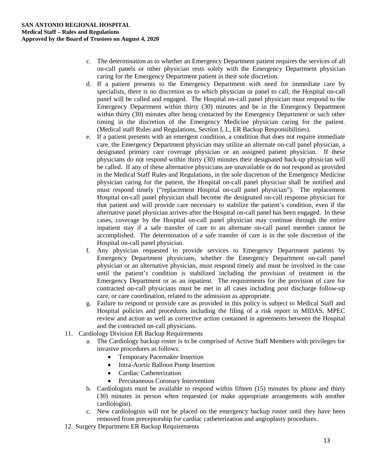- c. The determination as to whether an Emergency Department patient requires the services of all on-call panels or other physician rests solely with the Emergency Department physician caring for the Emergency Department patient in their sole discretion.
- d. If a patient presents to the Emergency Department with need for immediate care by specialists, there is no discretion as to which physician or panel to call; the Hospital on-call panel will be called and engaged. The Hospital on-call panel physician must respond to the Emergency Department within thirty (30) minutes and be in the Emergency Department within thirty (30) minutes after being contacted by the Emergency Department or such other timing in the discretion of the Emergency Medicine physician caring for the patient. (Medical staff Rules and Regulations, Section I, L, ER Backup Responsibilities).
- e. If a patient presents with an emergent condition, a condition that does not require immediate care, the Emergency Department physician may utilize an alternate on-call panel physician, a designated primary care coverage physician or an assigned patient physician. If these physicians do not respond within thirty (30) minutes their designated back-up physician will be called. If any of these alternative physicians are unavailable or do not respond as provided in the Medical Staff Rules and Regulations, in the sole discretion of the Emergency Medicine physician caring for the patient, the Hospital on-call panel physician shall be notified and must respond timely ("replacement Hospital on-call panel physician"). The replacement Hospital on-call panel physician shall become the designated on-call response physician for that patient and will provide care necessary to stabilize the patient's condition, even if the alternative panel physician arrives after the Hospital on-call panel has been engaged. In these cases, coverage by the Hospital on-call panel physician may continue through the entire inpatient stay if a safe transfer of care to an alternate on-call panel member cannot be accomplished. The determination of a safe transfer of care is in the sole discretion of the Hospital on-call panel physician.
- f. Any physician requested to provide services to Emergency Department patients by Emergency Department physicians, whether the Emergency Department on-call panel physician or an alternative physician, must respond timely and must be involved in the case until the patient's condition is stabilized including the provision of treatment in the Emergency Department or as an inpatient. The requirements for the provision of care for contracted on-call physicians must be met in all cases including post discharge follow-up care, or care coordination, related to the admission as appropriate.
- g. Failure to respond or provide care as provided in this policy is subject to Medical Staff and Hospital policies and procedures including the filing of a risk report in MIDAS, MPEC review and action as well as corrective action contained in agreements between the Hospital and the contracted on-call physicians.
- 11. Cardiology Division ER Backup Requirements
	- a. The Cardiology backup roster is to be comprised of Active Staff Members with privileges for invasive procedures as follows:
		- Temporary Pacemaker Insertion
		- Intra-Aortic Balloon Pump Insertion
		- Cardiac Catheterization
		- Percutaneous Coronary Intervention
	- b. Cardiologists must be available to respond within fifteen (15) minutes by phone and thirty (30) minutes in person when requested (or make appropriate arrangements with another cardiologist).
	- c. New cardiologists will not be placed on the emergency backup roster until they have been removed from preceptorship for cardiac catheterization and angioplasty procedures.
- 12. Surgery Department ER Backup Requirements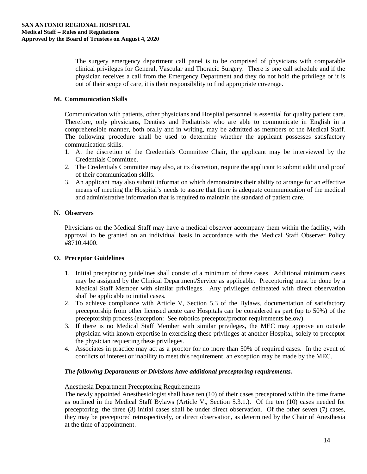The surgery emergency department call panel is to be comprised of physicians with comparable clinical privileges for General, Vascular and Thoracic Surgery. There is one call schedule and if the physician receives a call from the Emergency Department and they do not hold the privilege or it is out of their scope of care, it is their responsibility to find appropriate coverage.

# **M. Communication Skills**

Communication with patients, other physicians and Hospital personnel is essential for quality patient care. Therefore, only physicians, Dentists and Podiatrists who are able to communicate in English in a comprehensible manner, both orally and in writing, may be admitted as members of the Medical Staff. The following procedure shall be used to determine whether the applicant possesses satisfactory communication skills.

- 1. At the discretion of the Credentials Committee Chair, the applicant may be interviewed by the Credentials Committee.
- 2. The Credentials Committee may also, at its discretion, require the applicant to submit additional proof of their communication skills.
- 3. An applicant may also submit information which demonstrates their ability to arrange for an effective means of meeting the Hospital's needs to assure that there is adequate communication of the medical and administrative information that is required to maintain the standard of patient care.

# **N. Observers**

Physicians on the Medical Staff may have a medical observer accompany them within the facility, with approval to be granted on an individual basis in accordance with the Medical Staff Observer Policy #8710.4400.

# **O. Preceptor Guidelines**

- 1. Initial preceptoring guidelines shall consist of a minimum of three cases. Additional minimum cases may be assigned by the Clinical Department/Service as applicable. Preceptoring must be done by a Medical Staff Member with similar privileges. Any privileges delineated with direct observation shall be applicable to initial cases.
- 2. To achieve compliance with Article V, Section 5.3 of the Bylaws, documentation of satisfactory preceptorship from other licensed acute care Hospitals can be considered as part (up to 50%) of the preceptorship process (exception: See robotics preceptor/proctor requirements below).
- 3. If there is no Medical Staff Member with similar privileges, the MEC may approve an outside physician with known expertise in exercising these privileges at another Hospital, solely to preceptor the physician requesting these privileges.
- 4. Associates in practice may act as a proctor for no more than 50% of required cases. In the event of conflicts of interest or inability to meet this requirement, an exception may be made by the MEC.

# *The following Departments or Divisions have additional preceptoring requirements.*

# Anesthesia Department Preceptoring Requirements

The newly appointed Anesthesiologist shall have ten (10) of their cases preceptored within the time frame as outlined in the Medical Staff Bylaws (Article V., Section 5.3.1.). Of the ten (10) cases needed for preceptoring, the three (3) initial cases shall be under direct observation. Of the other seven (7) cases, they may be preceptored retrospectively, or direct observation, as determined by the Chair of Anesthesia at the time of appointment.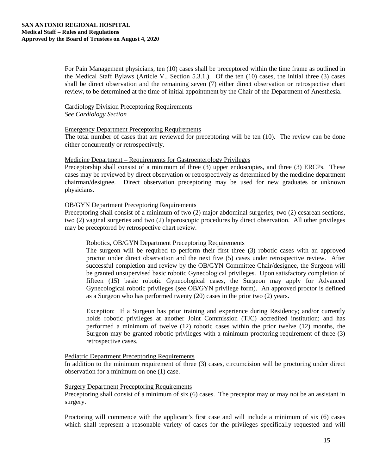For Pain Management physicians, ten (10) cases shall be preceptored within the time frame as outlined in the Medical Staff Bylaws (Article V., Section 5.3.1.). Of the ten (10) cases, the initial three (3) cases shall be direct observation and the remaining seven (7) either direct observation or retrospective chart review, to be determined at the time of initial appointment by the Chair of the Department of Anesthesia.

# Cardiology Division Preceptoring Requirements

*See Cardiology Section*

#### Emergency Department Preceptoring Requirements

The total number of cases that are reviewed for preceptoring will be ten (10). The review can be done either concurrently or retrospectively.

#### Medicine Department – Requirements for Gastroenterology Privileges

Preceptorship shall consist of a minimum of three (3) upper endoscopies, and three (3) ERCPs. These cases may be reviewed by direct observation or retrospectively as determined by the medicine department chairman/designee. Direct observation preceptoring may be used for new graduates or unknown physicians.

# OB/GYN Department Preceptoring Requirements

Preceptoring shall consist of a minimum of two (2) major abdominal surgeries, two (2) cesarean sections, two (2) vaginal surgeries and two (2) laparoscopic procedures by direct observation. All other privileges may be preceptored by retrospective chart review.

#### Robotics, OB/GYN Department Preceptoring Requirements

The surgeon will be required to perform their first three (3) robotic cases with an approved proctor under direct observation and the next five (5) cases under retrospective review. After successful completion and review by the OB/GYN Committee Chair/designee, the Surgeon will be granted unsupervised basic robotic Gynecological privileges. Upon satisfactory completion of fifteen (15) basic robotic Gynecological cases, the Surgeon may apply for Advanced Gynecological robotic privileges (see OB/GYN privilege form). An approved proctor is defined as a Surgeon who has performed twenty (20) cases in the prior two (2) years.

Exception: If a Surgeon has prior training and experience during Residency; and/or currently holds robotic privileges at another Joint Commission (TJC) accredited institution; and has performed a minimum of twelve (12) robotic cases within the prior twelve (12) months, the Surgeon may be granted robotic privileges with a minimum proctoring requirement of three (3) retrospective cases.

#### Pediatric Department Preceptoring Requirements

In addition to the minimum requirement of three (3) cases, circumcision will be proctoring under direct observation for a minimum on one (1) case.

# Surgery Department Preceptoring Requirements

Preceptoring shall consist of a minimum of six (6) cases. The preceptor may or may not be an assistant in surgery.

Proctoring will commence with the applicant's first case and will include a minimum of six (6) cases which shall represent a reasonable variety of cases for the privileges specifically requested and will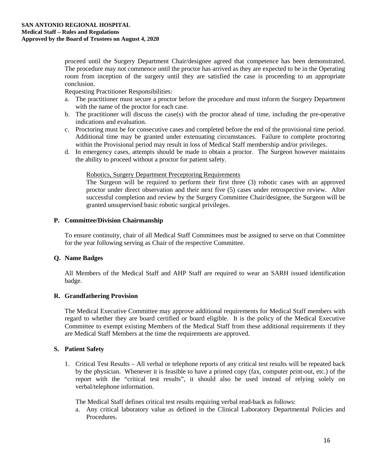proceed until the Surgery Department Chair/designee agreed that competence has been demonstrated. The procedure may not commence until the proctor has arrived as they are expected to be in the Operating room from inception of the surgery until they are satisfied the case is proceeding to an appropriate conclusion.

Requesting Practitioner Responsibilities:

- a. The practitioner must secure a proctor before the procedure and must inform the Surgery Department with the name of the proctor for each case.
- b. The practitioner will discuss the case(s) with the proctor ahead of time, including the pre-operative indications and evaluation.
- c. Proctoring must be for consecutive cases and completed before the end of the provisional time period. Additional time may be granted under extenuating circumstances. Failure to complete proctoring within the Provisional period may result in loss of Medical Staff membership and/or privileges.
- d. In emergency cases, attempts should be made to obtain a proctor. The Surgeon however maintains the ability to proceed without a proctor for patient safety.

#### Robotics, Surgery Department Preceptoring Requirements

The Surgeon will be required to perform their first three (3) robotic cases with an approved proctor under direct observation and their next five (5) cases under retrospective review. After successful completion and review by the Surgery Committee Chair/designee, the Surgeon will be granted unsupervised basic robotic surgical privileges.

# **P. Committee/Division Chairmanship**

To ensure continuity, chair of all Medical Staff Committees must be assigned to serve on that Committee for the year following serving as Chair of the respective Committee.

# **Q. Name Badges**

All Members of the Medical Staff and AHP Staff are required to wear an SARH issued identification badge.

# **R. Grandfathering Provision**

The Medical Executive Committee may approve additional requirements for Medical Staff members with regard to whether they are board certified or board eligible. It is the policy of the Medical Executive Committee to exempt existing Members of the Medical Staff from these additional requirements if they are Medical Staff Members at the time the requirements are approved.

# **S. Patient Safety**

1. Critical Test Results – All verbal or telephone reports of any critical test results will be repeated back by the physician. Whenever it is feasible to have a printed copy (fax, computer print-out, etc.) of the report with the "critical test results", it should also be used instead of relying solely on verbal/telephone information.

The Medical Staff defines critical test results requiring verbal read-back as follows:

a. Any critical laboratory value as defined in the Clinical Laboratory Departmental Policies and Procedures.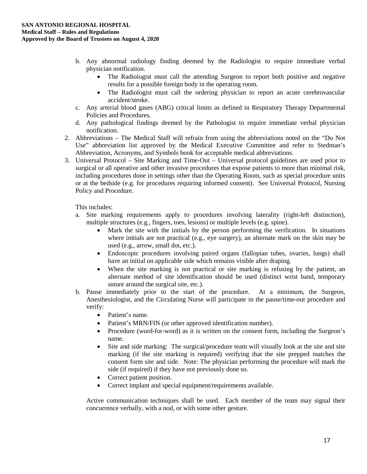- b. Any abnormal radiology finding deemed by the Radiologist to require immediate verbal physician notification.
	- The Radiologist must call the attending Surgeon to report both positive and negative results for a possible foreign body in the operating room.
	- The Radiologist must call the ordering physician to report an acute cerebrovascular accident/stroke.
- c. Any arterial blood gases (ABG) critical limits as defined in Respiratory Therapy Departmental Policies and Procedures.
- d. Any pathological findings deemed by the Pathologist to require immediate verbal physician notification.
- 2. Abbreviations The Medical Staff will refrain from using the abbreviations noted on the "Do Not Use" abbreviation list approved by the Medical Executive Committee and refer to Stedman's Abbreviation, Acronyms, and Symbols book for acceptable medical abbreviations.
- 3. Universal Protocol Site Marking and Time-Out Universal protocol guidelines are used prior to surgical or all operative and other invasive procedures that expose patients to more than minimal risk, including procedures done in settings other than the Operating Room, such as special procedure units or at the bedside (e.g. for procedures requiring informed consent). See Universal Protocol, Nursing Policy and Procedure.

This includes:

- a. Site marking requirements apply to procedures involving laterality (right-left distinction), multiple structures (e.g., fingers, toes, lesions) or multiple levels (e.g. spine).
	- Mark the site with the initials by the person performing the verification. In situations where initials are not practical (e.g., eye surgery), an alternate mark on the skin may be used (e.g., arrow, small dot, etc.).
	- Endoscopic procedures involving paired organs (fallopian tubes, ovaries, lungs) shall have an initial on applicable side which remains visible after draping.
	- When the site marking is not practical or site marking is refusing by the patient, an alternate method of site identification should be used (distinct wrist band, temporary suture around the surgical site, etc.).
- b. Pause immediately prior to the start of the procedure. At a minimum, the Surgeon, Anesthesiologist, and the Circulating Nurse will participate in the pause/time-out procedure and verify:
	- Patient's name.
	- Patient's MRN/FIN (or other approved identification number).
	- Procedure (word-for-word) as it is written on the consent form, including the Surgeon's name.
	- Site and side marking: The surgical/procedure team will visually look at the site and site marking (if the site marking is required) verifying that the site prepped matches the consent form site and side. Note: The physician performing the procedure will mark the side (if required) if they have not previously done so.
	- Correct patient position.
	- Correct implant and special equipment/requirements available.

Active communication techniques shall be used. Each member of the team may signal their concurrence verbally, with a nod, or with some other gesture.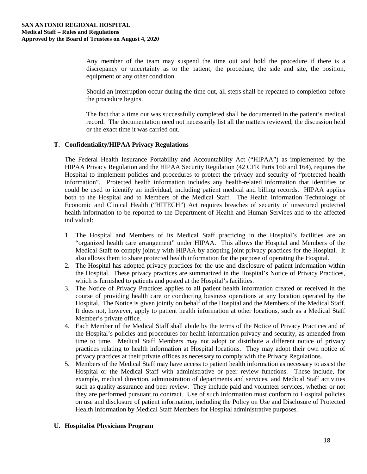Any member of the team may suspend the time out and hold the procedure if there is a discrepancy or uncertainty as to the patient, the procedure, the side and site, the position, equipment or any other condition.

Should an interruption occur during the time out, all steps shall be repeated to completion before the procedure begins.

The fact that a time out was successfully completed shall be documented in the patient's medical record. The documentation need not necessarily list all the matters reviewed, the discussion held or the exact time it was carried out.

# **T. Confidentiality/HIPAA Privacy Regulations**

The Federal Health Insurance Portability and Accountability Act ("HIPAA") as implemented by the HIPAA Privacy Regulation and the HIPAA Security Regulation (42 CFR Parts 160 and 164), requires the Hospital to implement policies and procedures to protect the privacy and security of "protected health information". Protected health information includes any health-related information that identifies or could be used to identify an individual, including patient medical and billing records. HIPAA applies both to the Hospital and to Members of the Medical Staff. The Health Information Technology of Economic and Clinical Health ("HITECH") Act requires breaches of security of unsecured protected health information to be reported to the Department of Health and Human Services and to the affected individual:

- 1. The Hospital and Members of its Medical Staff practicing in the Hospital's facilities are an "organized health care arrangement" under HIPAA. This allows the Hospital and Members of the Medical Staff to comply jointly with HIPAA by adopting joint privacy practices for the Hospital. It also allows them to share protected health information for the purpose of operating the Hospital.
- 2. The Hospital has adopted privacy practices for the use and disclosure of patient information within the Hospital. These privacy practices are summarized in the Hospital's Notice of Privacy Practices, which is furnished to patients and posted at the Hospital's facilities.
- 3. The Notice of Privacy Practices applies to all patient health information created or received in the course of providing health care or conducting business operations at any location operated by the Hospital. The Notice is given jointly on behalf of the Hospital and the Members of the Medical Staff. It does not, however, apply to patient health information at other locations, such as a Medical Staff Member's private office.
- 4. Each Member of the Medical Staff shall abide by the terms of the Notice of Privacy Practices and of the Hospital's policies and procedures for health information privacy and security, as amended from time to time. Medical Staff Members may not adopt or distribute a different notice of privacy practices relating to health information at Hospital locations. They may adopt their own notice of privacy practices at their private offices as necessary to comply with the Privacy Regulations.
- 5. Members of the Medical Staff may have access to patient health information as necessary to assist the Hospital or the Medical Staff with administrative or peer review functions. These include, for example, medical direction, administration of departments and services, and Medical Staff activities such as quality assurance and peer review. They include paid and volunteer services, whether or not they are performed pursuant to contract. Use of such information must conform to Hospital policies on use and disclosure of patient information, including the Policy on Use and Disclosure of Protected Health Information by Medical Staff Members for Hospital administrative purposes.

# **U. Hospitalist Physicians Program**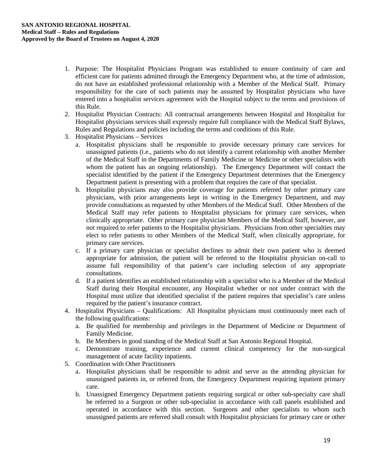- 1. Purpose: The Hospitalist Physicians Program was established to ensure continuity of care and efficient care for patients admitted through the Emergency Department who, at the time of admission, do not have an established professional relationship with a Member of the Medical Staff. Primary responsibility for the care of such patients may be assumed by Hospitalist physicians who have entered into a hospitalist services agreement with the Hospital subject to the terms and provisions of this Rule.
- 2. Hospitalist Physician Contracts: All contractual arrangements between Hospital and Hospitalist for Hospitalist physicians services shall expressly require full compliance with the Medical Staff Bylaws, Rules and Regulations and policies including the terms and conditions of this Rule.
- 3. Hospitalist Physicians Services
	- a. Hospitalist physicians shall be responsible to provide necessary primary care services for unassigned patients (i.e., patients who do not identify a current relationship with another Member of the Medical Staff in the Departments of Family Medicine or Medicine or other specialists with whom the patient has an ongoing relationship). The Emergency Department will contact the specialist identified by the patient if the Emergency Department determines that the Emergency Department patient is presenting with a problem that requires the care of that specialist.
	- b. Hospitalist physicians may also provide coverage for patients referred by other primary care physicians, with prior arrangements kept in writing in the Emergency Department, and may provide consultations as requested by other Members of the Medical Staff. Other Members of the Medical Staff may refer patients to Hospitalist physicians for primary care services, when clinically appropriate. Other primary care physician Members of the Medical Staff, however, are not required to refer patients to the Hospitalist physicians. Physicians from other specialties may elect to refer patients to other Members of the Medical Staff, when clinically appropriate, for primary care services.
	- c. If a primary care physician or specialist declines to admit their own patient who is deemed appropriate for admission, the patient will be referred to the Hospitalist physician on-call to assume full responsibility of that patient's care including selection of any appropriate consultations.
	- d. If a patient identifies an established relationship with a specialist who is a Member of the Medical Staff during their Hospital encounter, any Hospitalist whether or not under contract with the Hospital must utilize that identified specialist if the patient requires that specialist's care unless required by the patient's insurance contract.
- 4. Hospitalist Physicians Qualifications: All Hospitalist physicians must continuously meet each of the following qualifications:
	- a. Be qualified for membership and privileges in the Department of Medicine or Department of Family Medicine.
	- b. Be Members in good standing of the Medical Staff at San Antonio Regional Hospital.
	- c. Demonstrate training, experience and current clinical competency for the non-surgical management of acute facility inpatients.
- 5. Coordination with Other Practitioners
	- a. Hospitalist physicians shall be responsible to admit and serve as the attending physician for unassigned patients in, or referred from, the Emergency Department requiring inpatient primary care.
	- b. Unassigned Emergency Department patients requiring surgical or other sub-specialty care shall be referred to a Surgeon or other sub-specialist in accordance with call panels established and operated in accordance with this section. Surgeons and other specialists to whom such unassigned patients are referred shall consult with Hospitalist physicians for primary care or other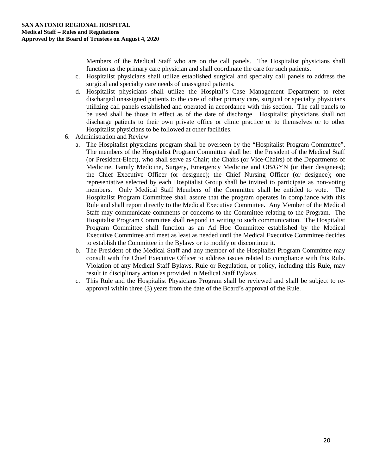Members of the Medical Staff who are on the call panels. The Hospitalist physicians shall function as the primary care physician and shall coordinate the care for such patients.

- c. Hospitalist physicians shall utilize established surgical and specialty call panels to address the surgical and specialty care needs of unassigned patients.
- d. Hospitalist physicians shall utilize the Hospital's Case Management Department to refer discharged unassigned patients to the care of other primary care, surgical or specialty physicians utilizing call panels established and operated in accordance with this section. The call panels to be used shall be those in effect as of the date of discharge. Hospitalist physicians shall not discharge patients to their own private office or clinic practice or to themselves or to other Hospitalist physicians to be followed at other facilities.
- 6. Administration and Review
	- a. The Hospitalist physicians program shall be overseen by the "Hospitalist Program Committee". The members of the Hospitalist Program Committee shall be: the President of the Medical Staff (or President-Elect), who shall serve as Chair; the Chairs (or Vice-Chairs) of the Departments of Medicine, Family Medicine, Surgery, Emergency Medicine and OB/GYN (or their designees); the Chief Executive Officer (or designee); the Chief Nursing Officer (or designee); one representative selected by each Hospitalist Group shall be invited to participate as non-voting members. Only Medical Staff Members of the Committee shall be entitled to vote. The Hospitalist Program Committee shall assure that the program operates in compliance with this Rule and shall report directly to the Medical Executive Committee. Any Member of the Medical Staff may communicate comments or concerns to the Committee relating to the Program. The Hospitalist Program Committee shall respond in writing to such communication. The Hospitalist Program Committee shall function as an Ad Hoc Committee established by the Medical Executive Committee and meet as least as needed until the Medical Executive Committee decides to establish the Committee in the Bylaws or to modify or discontinue it.
	- b. The President of the Medical Staff and any member of the Hospitalist Program Committee may consult with the Chief Executive Officer to address issues related to compliance with this Rule. Violation of any Medical Staff Bylaws, Rule or Regulation, or policy, including this Rule, may result in disciplinary action as provided in Medical Staff Bylaws.
	- c. This Rule and the Hospitalist Physicians Program shall be reviewed and shall be subject to reapproval within three (3) years from the date of the Board's approval of the Rule.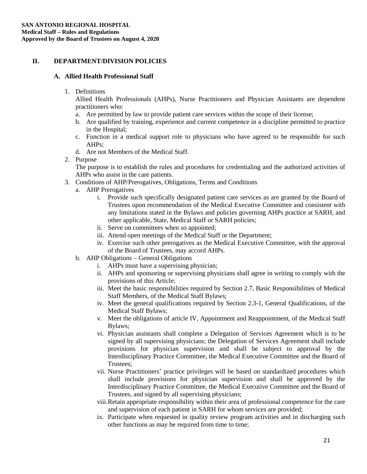# **II. DEPARTMENT/DIVISION POLICIES**

# **A. Allied Health Professional Staff**

1. Definitions

Allied Health Professionals (AHPs), Nurse Practitioners and Physician Assistants are dependent practitioners who:

- a. Are permitted by law to provide patient care services within the scope of their license;
- b. Are qualified by training, experience and current competence in a discipline permitted to practice in the Hospital;
- c. Function in a medical support role to physicians who have agreed to be responsible for such AHPs;
- d. Are not Members of the Medical Staff.
- 2. Purpose

The purpose is to establish the rules and procedures for credentialing and the authorized activities of AHPs who assist in the care patients.

- 3. Conditions of AHP/Prerogatives, Obligations, Terms and Conditions
	- a. AHP Prerogatives
		- i. Provide such specifically designated patient care services as are granted by the Board of Trustees upon recommendation of the Medical Executive Committee and consistent with any limitations stated in the Bylaws and policies governing AHPs practice at SARH, and other applicable, State, Medical Staff or SARH policies;
		- ii. Serve on committees when so appointed;
		- iii. Attend open meetings of the Medical Staff or the Department;
		- iv. Exercise such other prerogatives as the Medical Executive Committee, with the approval of the Board of Trustees, may accord AHPs.
	- b. AHP Obligations General Obligations
		- i. AHPs must have a supervising physician;
		- ii. AHPs and sponsoring or supervising physicians shall agree in writing to comply with the provisions of this Article;
		- iii. Meet the basic responsibilities required by Section 2.7, Basic Responsibilities of Medical Staff Members, of the Medical Staff Bylaws;
		- iv. Meet the general qualifications required by Section 2.3-1, General Qualifications, of the Medical Staff Bylaws;
		- v. Meet the obligations of article IV, Appointment and Reappointment, of the Medical Staff Bylaws;
		- vi. Physician assistants shall complete a Delegation of Services Agreement which is to be signed by all supervising physicians; the Delegation of Services Agreement shall include provisions for physician supervision and shall be subject to approval by the Interdisciplinary Practice Committee, the Medical Executive Committee and the Board of Trustees;
		- vii. Nurse Practitioners' practice privileges will be based on standardized procedures which shall include provisions for physician supervision and shall be approved by the Interdisciplinary Practice Committee, the Medical Executive Committee and the Board of Trustees, and signed by all supervising physicians;
		- viii.Retain appropriate responsibility within their area of professional competence for the care and supervision of each patient in SARH for whom services are provided;
		- ix. Participate when requested in quality review program activities and in discharging such other functions as may be required from time to time;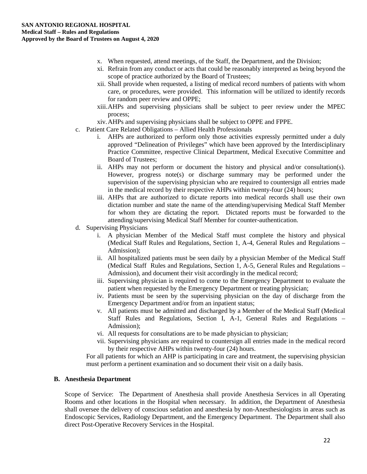- x. When requested, attend meetings, of the Staff, the Department, and the Division;
- xi. Refrain from any conduct or acts that could be reasonably interpreted as being beyond the scope of practice authorized by the Board of Trustees;
- xii. Shall provide when requested, a listing of medical record numbers of patients with whom care, or procedures, were provided. This information will be utilized to identify records for random peer review and OPPE;
- xiii.AHPs and supervising physicians shall be subject to peer review under the MPEC process;
- xiv.AHPs and supervising physicians shall be subject to OPPE and FPPE.
- c. Patient Care Related Obligations Allied Health Professionals
	- i. AHPs are authorized to perform only those activities expressly permitted under a duly approved "Delineation of Privileges" which have been approved by the Interdisciplinary Practice Committee, respective Clinical Department, Medical Executive Committee and Board of Trustees;
	- ii. AHPs may not perform or document the history and physical and/or consultation(s). However, progress note(s) or discharge summary may be performed under the supervision of the supervising physician who are required to countersign all entries made in the medical record by their respective AHPs within twenty-four (24) hours;
	- iii. AHPs that are authorized to dictate reports into medical records shall use their own dictation number and state the name of the attending/supervising Medical Staff Member for whom they are dictating the report. Dictated reports must be forwarded to the attending/supervising Medical Staff Member for counter-authentication.
- d. Supervising Physicians
	- i. A physician Member of the Medical Staff must complete the history and physical (Medical Staff Rules and Regulations, Section 1, A-4, General Rules and Regulations – Admission);
	- ii. All hospitalized patients must be seen daily by a physician Member of the Medical Staff (Medical Staff Rules and Regulations, Section 1, A-5, General Rules and Regulations – Admission), and document their visit accordingly in the medical record;
	- iii. Supervising physician is required to come to the Emergency Department to evaluate the patient when requested by the Emergency Department or treating physician;
	- iv. Patients must be seen by the supervising physician on the day of discharge from the Emergency Department and/or from an inpatient status;
	- v. All patients must be admitted and discharged by a Member of the Medical Staff (Medical Staff Rules and Regulations, Section I, A-1, General Rules and Regulations – Admission);
	- vi. All requests for consultations are to be made physician to physician;
	- vii. Supervising physicians are required to countersign all entries made in the medical record by their respective AHPs within twenty-four (24) hours.

For all patients for which an AHP is participating in care and treatment, the supervising physician must perform a pertinent examination and so document their visit on a daily basis.

#### **B. Anesthesia Department**

Scope of Service: The Department of Anesthesia shall provide Anesthesia Services in all Operating Rooms and other locations in the Hospital when necessary. In addition, the Department of Anesthesia shall oversee the delivery of conscious sedation and anesthesia by non-Anesthesiologists in areas such as Endoscopic Services, Radiology Department, and the Emergency Department. The Department shall also direct Post-Operative Recovery Services in the Hospital.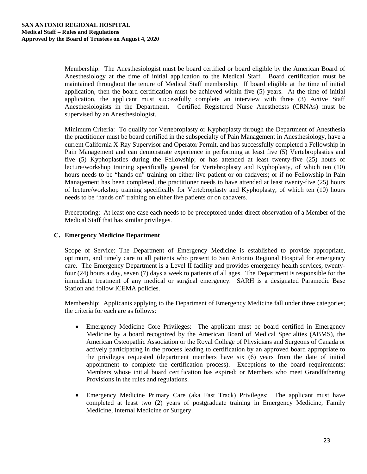Membership: The Anesthesiologist must be board certified or board eligible by the American Board of Anesthesiology at the time of initial application to the Medical Staff. Board certification must be maintained throughout the tenure of Medical Staff membership. If board eligible at the time of initial application, then the board certification must be achieved within five (5) years. At the time of initial application, the applicant must successfully complete an interview with three (3) Active Staff Anesthesiologists in the Department. Certified Registered Nurse Anesthetists (CRNAs) must be supervised by an Anesthesiologist.

Minimum Criteria: To qualify for Vertebroplasty or Kyphoplasty through the Department of Anesthesia the practitioner must be board certified in the subspecialty of Pain Management in Anesthesiology, have a current California X-Ray Supervisor and Operator Permit, and has successfully completed a Fellowship in Pain Management and can demonstrate experience in performing at least five (5) Vertebroplasties and five (5) Kyphoplasties during the Fellowship; or has attended at least twenty-five (25) hours of lecture/workshop training specifically geared for Vertebroplasty and Kyphoplasty, of which ten (10) hours needs to be "hands on" training on either live patient or on cadavers; or if no Fellowship in Pain Management has been completed, the practitioner needs to have attended at least twenty-five (25) hours of lecture/workshop training specifically for Vertebroplasty and Kyphoplasty, of which ten (10) hours needs to be 'hands on" training on either live patients or on cadavers.

Preceptoring: At least one case each needs to be preceptored under direct observation of a Member of the Medical Staff that has similar privileges.

# **C. Emergency Medicine Department**

Scope of Service: The Department of Emergency Medicine is established to provide appropriate, optimum, and timely care to all patients who present to San Antonio Regional Hospital for emergency care. The Emergency Department is a Level II facility and provides emergency health services, twentyfour (24) hours a day, seven (7) days a week to patients of all ages. The Department is responsible for the immediate treatment of any medical or surgical emergency. SARH is a designated Paramedic Base Station and follow ICEMA policies.

Membership: Applicants applying to the Department of Emergency Medicine fall under three categories; the criteria for each are as follows:

- Emergency Medicine Core Privileges: The applicant must be board certified in Emergency Medicine by a board recognized by the American Board of Medical Specialties (ABMS), the American Osteopathic Association or the Royal College of Physicians and Surgeons of Canada or actively participating in the process leading to certification by an approved board appropriate to the privileges requested (department members have six (6) years from the date of initial appointment to complete the certification process). Exceptions to the board requirements: Members whose initial board certification has expired; or Members who meet Grandfathering Provisions in the rules and regulations.
- Emergency Medicine Primary Care (aka Fast Track) Privileges: The applicant must have completed at least two (2) years of postgraduate training in Emergency Medicine, Family Medicine, Internal Medicine or Surgery.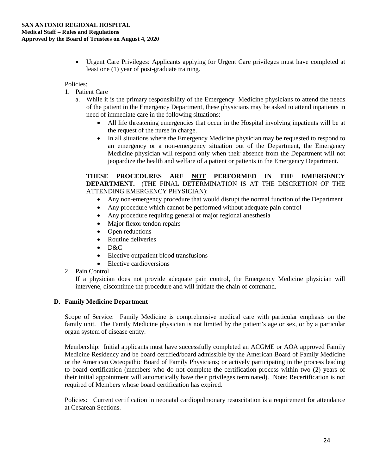• Urgent Care Privileges: Applicants applying for Urgent Care privileges must have completed at least one (1) year of post-graduate training.

#### Policies:

- 1. Patient Care
	- a. While it is the primary responsibility of the Emergency Medicine physicians to attend the needs of the patient in the Emergency Department, these physicians may be asked to attend inpatients in need of immediate care in the following situations:
		- All life threatening emergencies that occur in the Hospital involving inpatients will be at the request of the nurse in charge.
		- In all situations where the Emergency Medicine physician may be requested to respond to an emergency or a non-emergency situation out of the Department, the Emergency Medicine physician will respond only when their absence from the Department will not jeopardize the health and welfare of a patient or patients in the Emergency Department.

# **THESE PROCEDURES ARE NOT PERFORMED IN THE EMERGENCY DEPARTMENT.** (THE FINAL DETERMINATION IS AT THE DISCRETION OF THE ATTENDING EMERGENCY PHYSICIAN):

- Any non-emergency procedure that would disrupt the normal function of the Department
- Any procedure which cannot be performed without adequate pain control
- Any procedure requiring general or major regional anesthesia
- Major flexor tendon repairs
- Open reductions
- Routine deliveries
- D&C
- Elective outpatient blood transfusions
- Elective cardioversions

# 2. Pain Control

If a physician does not provide adequate pain control, the Emergency Medicine physician will intervene, discontinue the procedure and will initiate the chain of command.

# **D. Family Medicine Department**

Scope of Service: Family Medicine is comprehensive medical care with particular emphasis on the family unit. The Family Medicine physician is not limited by the patient's age or sex, or by a particular organ system of disease entity.

Membership: Initial applicants must have successfully completed an ACGME or AOA approved Family Medicine Residency and be board certified/board admissible by the American Board of Family Medicine or the American Osteopathic Board of Family Physicians; or actively participating in the process leading to board certification (members who do not complete the certification process within two (2) years of their initial appointment will automatically have their privileges terminated). Note: Recertification is not required of Members whose board certification has expired.

Policies: Current certification in neonatal cardiopulmonary resuscitation is a requirement for attendance at Cesarean Sections.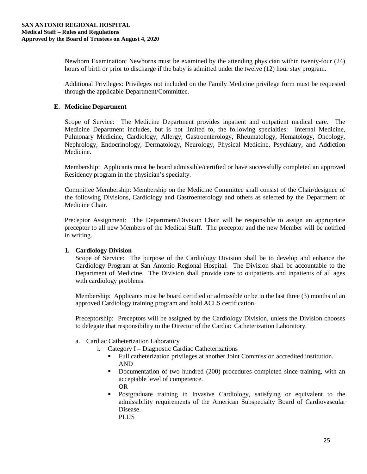Newborn Examination: Newborns must be examined by the attending physician within twenty-four (24) hours of birth or prior to discharge if the baby is admitted under the twelve (12) hour stay program.

Additional Privileges: Privileges not included on the Family Medicine privilege form must be requested through the applicable Department/Committee.

# **E. Medicine Department**

Scope of Service: The Medicine Department provides inpatient and outpatient medical care. The Medicine Department includes, but is not limited to, the following specialties: Internal Medicine, Pulmonary Medicine, Cardiology, Allergy, Gastroenterology, Rheumatology, Hematology, Oncology, Nephrology, Endocrinology, Dermatology, Neurology, Physical Medicine, Psychiatry, and Addiction Medicine.

Membership: Applicants must be board admissible/certified or have successfully completed an approved Residency program in the physician's specialty.

Committee Membership: Membership on the Medicine Committee shall consist of the Chair/designee of the following Divisions, Cardiology and Gastroenterology and others as selected by the Department of Medicine Chair.

Preceptor Assignment: The Department/Division Chair will be responsible to assign an appropriate preceptor to all new Members of the Medical Staff. The preceptor and the new Member will be notified in writing.

# **1. Cardiology Division**

Scope of Service: The purpose of the Cardiology Division shall be to develop and enhance the Cardiology Program at San Antonio Regional Hospital. The Division shall be accountable to the Department of Medicine. The Division shall provide care to outpatients and inpatients of all ages with cardiology problems.

Membership: Applicants must be board certified or admissible or be in the last three (3) months of an approved Cardiology training program and hold ACLS certification.

Preceptorship: Preceptors will be assigned by the Cardiology Division, unless the Division chooses to delegate that responsibility to the Director of the Cardiac Catheterization Laboratory.

- a. Cardiac Catheterization Laboratory
	- i. Category I Diagnostic Cardiac Catheterizations
		- Full catheterization privileges at another Joint Commission accredited institution. AND
		- Documentation of two hundred (200) procedures completed since training, with an acceptable level of competence. OR
		- Postgraduate training in Invasive Cardiology, satisfying or equivalent to the admissibility requirements of the American Subspecialty Board of Cardiovascular Disease. PLUS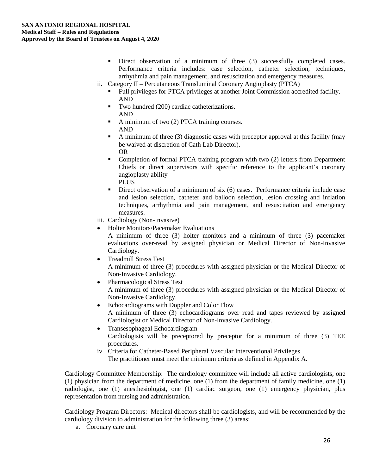- Direct observation of a minimum of three (3) successfully completed cases. Performance criteria includes: case selection, catheter selection, techniques, arrhythmia and pain management, and resuscitation and emergency measures.
- ii. Category II Percutaneous Transluminal Coronary Angioplasty (PTCA)
	- Full privileges for PTCA privileges at another Joint Commission accredited facility. AND
	- Two hundred (200) cardiac catheterizations. AND
	- A minimum of two (2) PTCA training courses. AND
	- $\blacksquare$  A minimum of three (3) diagnostic cases with preceptor approval at this facility (may be waived at discretion of Cath Lab Director). OR
	- Completion of formal PTCA training program with two (2) letters from Department Chiefs or direct supervisors with specific reference to the applicant's coronary angioplasty ability **PLUS**
	- Direct observation of a minimum of six (6) cases. Performance criteria include case and lesion selection, catheter and balloon selection, lesion crossing and inflation techniques, arrhythmia and pain management, and resuscitation and emergency measures.
- iii. Cardiology (Non-Invasive)
- Holter Monitors/Pacemaker Evaluations

A minimum of three (3) holter monitors and a minimum of three (3) pacemaker evaluations over-read by assigned physician or Medical Director of Non-Invasive Cardiology.

- Treadmill Stress Test A minimum of three (3) procedures with assigned physician or the Medical Director of Non-Invasive Cardiology.
- Pharmacological Stress Test A minimum of three (3) procedures with assigned physician or the Medical Director of Non-Invasive Cardiology.
- Echocardiograms with Doppler and Color Flow A minimum of three (3) echocardiograms over read and tapes reviewed by assigned Cardiologist or Medical Director of Non-Invasive Cardiology.
- Transesophageal Echocardiogram Cardiologists will be preceptored by preceptor for a minimum of three (3) TEE procedures.
- iv. Criteria for Catheter-Based Peripheral Vascular Interventional Privileges The practitioner must meet the minimum criteria as defined in Appendix A.

Cardiology Committee Membership: The cardiology committee will include all active cardiologists, one (1) physician from the department of medicine, one (1) from the department of family medicine, one (1) radiologist, one (1) anesthesiologist, one (1) cardiac surgeon, one (1) emergency physician, plus representation from nursing and administration.

Cardiology Program Directors: Medical directors shall be cardiologists, and will be recommended by the cardiology division to administration for the following three (3) areas:

a. Coronary care unit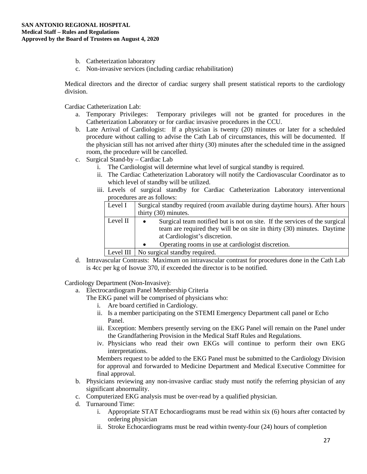- b. Catheterization laboratory
- c. Non-invasive services (including cardiac rehabilitation)

Medical directors and the director of cardiac surgery shall present statistical reports to the cardiology division.

Cardiac Catheterization Lab:

- a. Temporary Privileges: Temporary privileges will not be granted for procedures in the Catheterization Laboratory or for cardiac invasive procedures in the CCU.
- b. Late Arrival of Cardiologist: If a physician is twenty (20) minutes or later for a scheduled procedure without calling to advise the Cath Lab of circumstances, this will be documented. If the physician still has not arrived after thirty (30) minutes after the scheduled time in the assigned room, the procedure will be cancelled.
- c. Surgical Stand-by Cardiac Lab
	- i. The Cardiologist will determine what level of surgical standby is required.
	- ii. The Cardiac Catheterization Laboratory will notify the Cardiovascular Coordinator as to which level of standby will be utilized.
	- iii. Levels of surgical standby for Cardiac Catheterization Laboratory interventional procedures are as follows:

| Level I  | Surgical standby required (room available during daytime hours). After hours                                                                                                                       |
|----------|----------------------------------------------------------------------------------------------------------------------------------------------------------------------------------------------------|
|          | thirty $(30)$ minutes.                                                                                                                                                                             |
| Level II | Surgical team notified but is not on site. If the services of the surgical<br>$\bullet$<br>team are required they will be on site in thirty (30) minutes. Daytime<br>at Cardiologist's discretion. |
|          | Operating rooms in use at cardiologist discretion.<br>$\bullet$                                                                                                                                    |

Level III | No surgical standby required.

d. Intravascular Contrasts: Maximum on intravascular contrast for procedures done in the Cath Lab is 4cc per kg of Isovue 370, if exceeded the director is to be notified.

Cardiology Department (Non-Invasive):

a. Electrocardiogram Panel Membership Criteria

The EKG panel will be comprised of physicians who:

- i. Are board certified in Cardiology.
- ii. Is a member participating on the STEMI Emergency Department call panel or Echo Panel.
- iii. Exception: Members presently serving on the EKG Panel will remain on the Panel under the Grandfathering Provision in the Medical Staff Rules and Regulations.
- iv. Physicians who read their own EKGs will continue to perform their own EKG interpretations.

Members request to be added to the EKG Panel must be submitted to the Cardiology Division for approval and forwarded to Medicine Department and Medical Executive Committee for final approval.

- b. Physicians reviewing any non-invasive cardiac study must notify the referring physician of any significant abnormality.
- c. Computerized EKG analysis must be over-read by a qualified physician.
- d. Turnaround Time:
	- i. Appropriate STAT Echocardiograms must be read within six (6) hours after contacted by ordering physician
	- ii. Stroke Echocardiograms must be read within twenty-four (24) hours of completion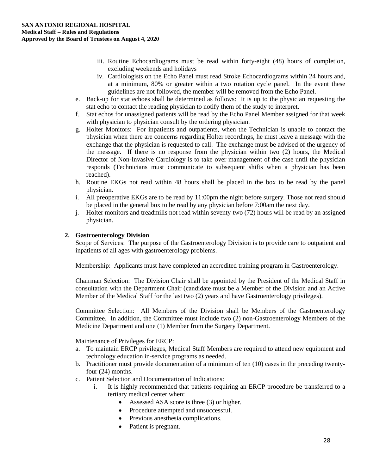- iii. Routine Echocardiograms must be read within forty-eight (48) hours of completion, excluding weekends and holidays
- iv. Cardiologists on the Echo Panel must read Stroke Echocardiograms within 24 hours and, at a minimum, 80% or greater within a two rotation cycle panel. In the event these guidelines are not followed, the member will be removed from the Echo Panel.
- e. Back-up for stat echoes shall be determined as follows: It is up to the physician requesting the stat echo to contact the reading physician to notify them of the study to interpret.
- f. Stat echos for unassigned patients will be read by the Echo Panel Member assigned for that week with physician to physician consult by the ordering physician.
- g. Holter Monitors: For inpatients and outpatients, when the Technician is unable to contact the physician when there are concerns regarding Holter recordings, he must leave a message with the exchange that the physician is requested to call. The exchange must be advised of the urgency of the message. If there is no response from the physician within two (2) hours, the Medical Director of Non-Invasive Cardiology is to take over management of the case until the physician responds (Technicians must communicate to subsequent shifts when a physician has been reached).
- h. Routine EKGs not read within 48 hours shall be placed in the box to be read by the panel physician.
- i. All preoperative EKGs are to be read by 11:00pm the night before surgery. Those not read should be placed in the general box to be read by any physician before 7:00am the next day.
- j. Holter monitors and treadmills not read within seventy-two (72) hours will be read by an assigned physician.

# **2. Gastroenterology Division**

Scope of Services: The purpose of the Gastroenterology Division is to provide care to outpatient and inpatients of all ages with gastroenterology problems.

Membership: Applicants must have completed an accredited training program in Gastroenterology.

Chairman Selection: The Division Chair shall be appointed by the President of the Medical Staff in consultation with the Department Chair (candidate must be a Member of the Division and an Active Member of the Medical Staff for the last two (2) years and have Gastroenterology privileges).

Committee Selection: All Members of the Division shall be Members of the Gastroenterology Committee. In addition, the Committee must include two (2) non-Gastroenterology Members of the Medicine Department and one (1) Member from the Surgery Department.

Maintenance of Privileges for ERCP:

- a. To maintain ERCP privileges, Medical Staff Members are required to attend new equipment and technology education in-service programs as needed.
- b. Practitioner must provide documentation of a minimum of ten (10) cases in the preceding twentyfour (24) months.
- c. Patient Selection and Documentation of Indications:
	- i. It is highly recommended that patients requiring an ERCP procedure be transferred to a tertiary medical center when:
		- Assessed ASA score is three (3) or higher.
		- Procedure attempted and unsuccessful.
		- Previous anesthesia complications.
		- Patient is pregnant.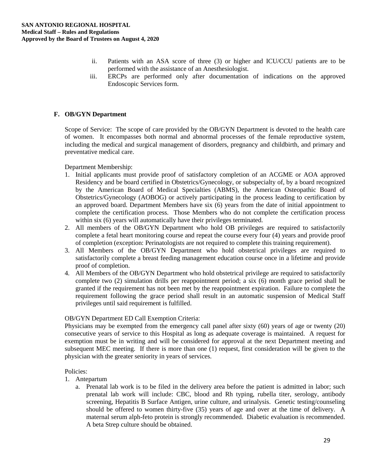- ii. Patients with an ASA score of three (3) or higher and ICU/CCU patients are to be performed with the assistance of an Anesthesiologist.
- iii. ERCPs are performed only after documentation of indications on the approved Endoscopic Services form.

# **F. OB/GYN Department**

Scope of Service: The scope of care provided by the OB/GYN Department is devoted to the health care of women. It encompasses both normal and abnormal processes of the female reproductive system, including the medical and surgical management of disorders, pregnancy and childbirth, and primary and preventative medical care.

# Department Membership:

- 1. Initial applicants must provide proof of satisfactory completion of an ACGME or AOA approved Residency and be board certified in Obstetrics/Gynecology, or subspecialty of, by a board recognized by the American Board of Medical Specialties (ABMS), the American Osteopathic Board of Obstetrics/Gynecology (AOBOG) or actively participating in the process leading to certification by an approved board. Department Members have six (6) years from the date of initial appointment to complete the certification process. Those Members who do not complete the certification process within six (6) years will automatically have their privileges terminated.
- 2. All members of the OB/GYN Department who hold OB privileges are required to satisfactorily complete a fetal heart monitoring course and repeat the course every four (4) years and provide proof of completion (exception: Perinatologists are not required to complete this training requirement).
- 3. All Members of the OB/GYN Department who hold obstetrical privileges are required to satisfactorily complete a breast feeding management education course once in a lifetime and provide proof of completion.
- 4. All Members of the OB/GYN Department who hold obstetrical privilege are required to satisfactorily complete two (2) simulation drills per reappointment period; a six (6) month grace period shall be granted if the requirement has not been met by the reappointment expiration. Failure to complete the requirement following the grace period shall result in an automatic suspension of Medical Staff privileges until said requirement is fulfilled.

# OB/GYN Department ED Call Exemption Criteria:

Physicians may be exempted from the emergency call panel after sixty (60) years of age or twenty (20) consecutive years of service to this Hospital as long as adequate coverage is maintained. A request for exemption must be in writing and will be considered for approval at the next Department meeting and subsequent MEC meeting. If there is more than one (1) request, first consideration will be given to the physician with the greater seniority in years of services.

# Policies:

- 1. Antepartum
	- a. Prenatal lab work is to be filed in the delivery area before the patient is admitted in labor; such prenatal lab work will include: CBC, blood and Rh typing, rubella titer, serology, antibody screening, Hepatitis B Surface Antigen, urine culture, and urinalysis. Genetic testing/counseling should be offered to women thirty-five (35) years of age and over at the time of delivery. A maternal serum alph-feto protein is strongly recommended. Diabetic evaluation is recommended. A beta Strep culture should be obtained.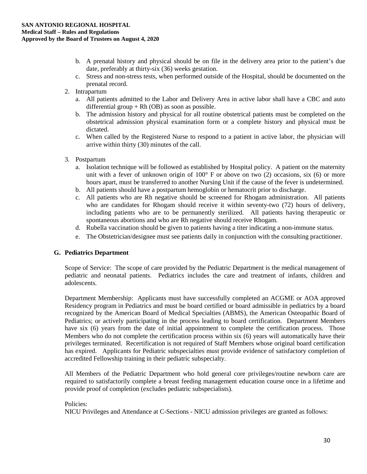- b. A prenatal history and physical should be on file in the delivery area prior to the patient's due date, preferably at thirty-six (36) weeks gestation.
- c. Stress and non-stress tests, when performed outside of the Hospital, should be documented on the prenatal record.
- 2. Intrapartum
	- a. All patients admitted to the Labor and Delivery Area in active labor shall have a CBC and auto differential group  $+ Rh$  (OB) as soon as possible.
	- b. The admission history and physical for all routine obstetrical patients must be completed on the obstetrical admission physical examination form or a complete history and physical must be dictated.
	- c. When called by the Registered Nurse to respond to a patient in active labor, the physician will arrive within thirty (30) minutes of the call.
- 3. Postpartum
	- a. Isolation technique will be followed as established by Hospital policy. A patient on the maternity unit with a fever of unknown origin of  $100^{\circ}$  F or above on two (2) occasions, six (6) or more hours apart, must be transferred to another Nursing Unit if the cause of the fever is undetermined.
	- b. All patients should have a postpartum hemoglobin or hematocrit prior to discharge.
	- c. All patients who are Rh negative should be screened for Rhogam administration. All patients who are candidates for Rhogam should receive it within seventy-two (72) hours of delivery, including patients who are to be permanently sterilized. All patients having therapeutic or spontaneous abortions and who are Rh negative should receive Rhogam.
	- d. Rubella vaccination should be given to patients having a titer indicating a non-immune status.
	- e. The Obstetrician/designee must see patients daily in conjunction with the consulting practitioner.

# **G. Pediatrics Department**

Scope of Service: The scope of care provided by the Pediatric Department is the medical management of pediatric and neonatal patients. Pediatrics includes the care and treatment of infants, children and adolescents.

Department Membership: Applicants must have successfully completed an ACGME or AOA approved Residency program in Pediatrics and must be board certified or board admissible in pediatrics by a board recognized by the American Board of Medical Specialties (ABMS), the American Osteopathic Board of Pediatrics; or actively participating in the process leading to board certification. Department Members have six (6) years from the date of initial appointment to complete the certification process. Those Members who do not complete the certification process within six (6) years will automatically have their privileges terminated. Recertification is not required of Staff Members whose original board certification has expired. Applicants for Pediatric subspecialties must provide evidence of satisfactory completion of accredited Fellowship training in their pediatric subspecialty.

All Members of the Pediatric Department who hold general core privileges/routine newborn care are required to satisfactorily complete a breast feeding management education course once in a lifetime and provide proof of completion (excludes pediatric subspecialists).

# Policies:

NICU Privileges and Attendance at C-Sections - NICU admission privileges are granted as follows: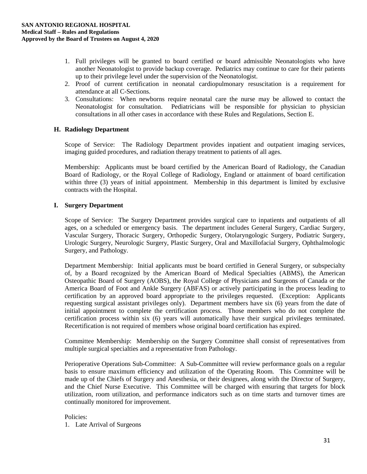- 1. Full privileges will be granted to board certified or board admissible Neonatologists who have another Neonatologist to provide backup coverage. Pediatrics may continue to care for their patients up to their privilege level under the supervision of the Neonatologist.
- 2. Proof of current certification in neonatal cardiopulmonary resuscitation is a requirement for attendance at all C-Sections.
- 3. Consultations: When newborns require neonatal care the nurse may be allowed to contact the Neonatologist for consultation. Pediatricians will be responsible for physician to physician consultations in all other cases in accordance with these Rules and Regulations, Section E.

# **H. Radiology Department**

Scope of Service: The Radiology Department provides inpatient and outpatient imaging services, imaging guided procedures, and radiation therapy treatment to patients of all ages.

Membership: Applicants must be board certified by the American Board of Radiology, the Canadian Board of Radiology, or the Royal College of Radiology, England or attainment of board certification within three (3) years of initial appointment. Membership in this department is limited by exclusive contracts with the Hospital.

# **I. Surgery Department**

Scope of Service: The Surgery Department provides surgical care to inpatients and outpatients of all ages, on a scheduled or emergency basis. The department includes General Surgery, Cardiac Surgery, Vascular Surgery, Thoracic Surgery, Orthopedic Surgery, Otolaryngologic Surgery, Podiatric Surgery, Urologic Surgery, Neurologic Surgery, Plastic Surgery, Oral and Maxillofacial Surgery, Ophthalmologic Surgery, and Pathology.

Department Membership: Initial applicants must be board certified in General Surgery, or subspecialty of, by a Board recognized by the American Board of Medical Specialties (ABMS), the American Osteopathic Board of Surgery (AOBS), the Royal College of Physicians and Surgeons of Canada or the America Board of Foot and Ankle Surgery (ABFAS) or actively participating in the process leading to certification by an approved board appropriate to the privileges requested. (Exception: Applicants requesting surgical assistant privileges only). Department members have six (6) years from the date of initial appointment to complete the certification process. Those members who do not complete the certification process within six (6) years will automatically have their surgical privileges terminated. Recertification is not required of members whose original board certification has expired.

Committee Membership: Membership on the Surgery Committee shall consist of representatives from multiple surgical specialties and a representative from Pathology.

Perioperative Operations Sub-Committee: A Sub-Committee will review performance goals on a regular basis to ensure maximum efficiency and utilization of the Operating Room. This Committee will be made up of the Chiefs of Surgery and Anesthesia, or their designees, along with the Director of Surgery, and the Chief Nurse Executive. This Committee will be charged with ensuring that targets for block utilization, room utilization, and performance indicators such as on time starts and turnover times are continually monitored for improvement.

# Policies:

1. Late Arrival of Surgeons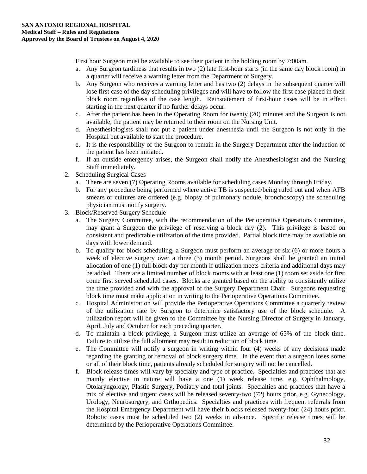First hour Surgeon must be available to see their patient in the holding room by 7:00am.

- a. Any Surgeon tardiness that results in two (2) late first-hour starts (in the same day block room) in a quarter will receive a warning letter from the Department of Surgery.
- b. Any Surgeon who receives a warning letter and has two (2) delays in the subsequent quarter will lose first case of the day scheduling privileges and will have to follow the first case placed in their block room regardless of the case length. Reinstatement of first-hour cases will be in effect starting in the next quarter if no further delays occur.
- c. After the patient has been in the Operating Room for twenty (20) minutes and the Surgeon is not available, the patient may be returned to their room on the Nursing Unit.
- d. Anesthesiologists shall not put a patient under anesthesia until the Surgeon is not only in the Hospital but available to start the procedure.
- e. It is the responsibility of the Surgeon to remain in the Surgery Department after the induction of the patient has been initiated.
- f. If an outside emergency arises, the Surgeon shall notify the Anesthesiologist and the Nursing Staff immediately.
- 2. Scheduling Surgical Cases
	- a. There are seven (7) Operating Rooms available for scheduling cases Monday through Friday.
	- b. For any procedure being performed where active TB is suspected/being ruled out and when AFB smears or cultures are ordered (e.g. biopsy of pulmonary nodule, bronchoscopy) the scheduling physician must notify surgery.
- 3. Block/Reserved Surgery Schedule
	- a. The Surgery Committee, with the recommendation of the Perioperative Operations Committee, may grant a Surgeon the privilege of reserving a block day (2). This privilege is based on consistent and predictable utilization of the time provided. Partial block time may be available on days with lower demand.
	- b. To qualify for block scheduling, a Surgeon must perform an average of six (6) or more hours a week of elective surgery over a three (3) month period. Surgeons shall be granted an initial allocation of one (1) full block day per month if utilization meets criteria and additional days may be added. There are a limited number of block rooms with at least one (1) room set aside for first come first served scheduled cases. Blocks are granted based on the ability to consistently utilize the time provided and with the approval of the Surgery Department Chair. Surgeons requesting block time must make application in writing to the Perioperative Operations Committee.
	- c. Hospital Administration will provide the Perioperative Operations Committee a quarterly review of the utilization rate by Surgeon to determine satisfactory use of the block schedule. A utilization report will be given to the Committee by the Nursing Director of Surgery in January, April, July and October for each preceding quarter.
	- d. To maintain a block privilege, a Surgeon must utilize an average of 65% of the block time. Failure to utilize the full allotment may result in reduction of block time.
	- e. The Committee will notify a surgeon in writing within four (4) weeks of any decisions made regarding the granting or removal of block surgery time. In the event that a surgeon loses some or all of their block time, patients already scheduled for surgery will not be cancelled.
	- f. Block release times will vary by specialty and type of practice. Specialties and practices that are mainly elective in nature will have a one (1) week release time, e.g. Ophthalmology, Otolaryngology, Plastic Surgery, Podiatry and total joints. Specialties and practices that have a mix of elective and urgent cases will be released seventy-two (72) hours prior, e.g. Gynecology, Urology, Neurosurgery, and Orthopedics. Specialties and practices with frequent referrals from the Hospital Emergency Department will have their blocks released twenty-four (24) hours prior. Robotic cases must be scheduled two (2) weeks in advance. Specific release times will be determined by the Perioperative Operations Committee.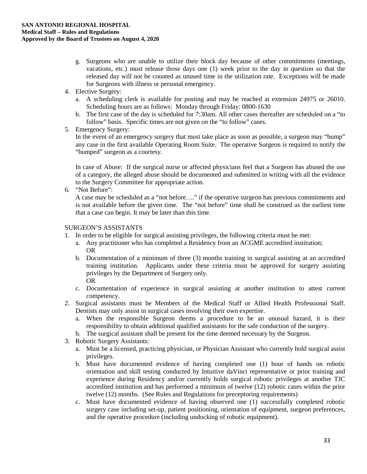- g. Surgeons who are unable to utilize their block day because of other commitments (meetings, vacations, etc.) must release those days one (1) week prior to the day in question so that the released day will not be counted as unused time in the utilization rate. Exceptions will be made for Surgeons with illness or personal emergency.
- 4. Elective Surgery:
	- a. A scheduling clerk is available for posting and may be reached at extension 24975 or 26010. Scheduling hours are as follows: Monday through Friday: 0800-1630
	- b. The first case of the day is scheduled for 7:30am. All other cases thereafter are scheduled on a "to follow" basis. Specific times are not given on the "to follow" cases.
- 5. Emergency Surgery:

In the event of an emergency surgery that must take place as soon as possible, a surgeon may "bump" any case in the first available Operating Room Suite. The operative Surgeon is required to notify the "bumped" surgeon as a courtesy.

In case of Abuse: If the surgical nurse or affected physicians feel that a Surgeon has abused the use of a category, the alleged abuse should be documented and submitted in writing with all the evidence to the Surgery Committee for appropriate action.

6. "Not Before":

A case may be scheduled as a "not before…." if the operative surgeon has previous commitments and is not available before the given time. The "not before" time shall be construed as the earliest time that a case can begin. It may be later than this time.

# SURGEON'S ASSISTANTS

- 1. In order to be eligible for surgical assisting privileges, the following criteria must be met:
	- a. Any practitioner who has completed a Residency from an ACGME accredited institution; OR
	- b. Documentation of a minimum of three (3) months training in surgical assisting at an accredited training institution. Applicants under these criteria must be approved for surgery assisting privileges by the Department of Surgery only. OR
	- c. Documentation of experience in surgical assisting at another institution to attest current competency.
- 2. Surgical assistants must be Members of the Medical Staff or Allied Health Professional Staff. Dentists may only assist in surgical cases involving their own expertise.
	- a. When the responsible Surgeon deems a procedure to be an unusual hazard, it is their responsibility to obtain additional qualified assistants for the safe conduction of the surgery.
	- b. The surgical assistant shall be present for the time deemed necessary by the Surgeon.
- 3. Robotic Surgery Assistants:
	- a. Must be a licensed, practicing physician, or Physician Assistant who currently hold surgical assist privileges.
	- b. Must have documented evidence of having completed one (1) hour of hands on robotic orientation and skill testing conducted by Intuitive daVinci representative or prior training and experience during Residency and/or currently holds surgical robotic privileges at another TJC accredited institution and has performed a minimum of twelve (12) robotic cases within the prior twelve (12) months. (See Rules and Regulations for preceptoring requirements)
	- c. Must have documented evidence of having observed one (1) successfully completed robotic surgery case including set-up, patient positioning, orientation of equipment, surgeon preferences, and the operative procedure (including undocking of robotic equipment).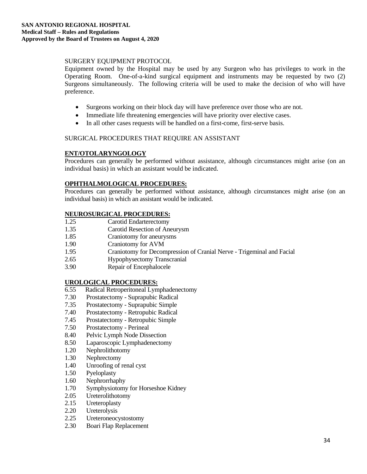# SURGERY EQUIPMENT PROTOCOL

Equipment owned by the Hospital may be used by any Surgeon who has privileges to work in the Operating Room. One-of-a-kind surgical equipment and instruments may be requested by two (2) Surgeons simultaneously. The following criteria will be used to make the decision of who will have preference.

- Surgeons working on their block day will have preference over those who are not.
- Immediate life threatening emergencies will have priority over elective cases.
- In all other cases requests will be handled on a first-come, first-serve basis.

# SURGICAL PROCEDURES THAT REQUIRE AN ASSISTANT

# **ENT/OTOLARYNGOLOGY**

Procedures can generally be performed without assistance, although circumstances might arise (on an individual basis) in which an assistant would be indicated.

# **OPHTHALMOLOGICAL PROCEDURES:**

Procedures can generally be performed without assistance, although circumstances might arise (on an individual basis) in which an assistant would be indicated.

# **NEUROSURGICAL PROCEDURES:**

- 1.25 Carotid Endarterectomy
- 1.35 Carotid Resection of Aneurysm
- 1.85 Craniotomy for aneurysms
- 1.90 Craniotomy for AVM
- 1.95 Craniotomy for Decompression of Cranial Nerve Trigeminal and Facial
- 2.65 Hypophysectomy Transcranial
- 3.90 Repair of Encephalocele

# **UROLOGICAL PROCEDURES:**

- 6.55 Radical Retroperitoneal Lymphadenectomy
- 7.30 Prostatectomy Suprapubic Radical
- 7.35 Prostatectomy Suprapubic Simple
- 7.40 Prostatectomy Retropubic Radical
- 7.45 Prostatectomy Retropubic Simple
- 7.50 Prostatectomy Perineal
- 8.40 Pelvic Lymph Node Dissection
- 8.50 Laparoscopic Lymphadenectomy
- 1.20 Nephrolithotomy
- 1.30 Nephrectomy
- 1.40 Unroofing of renal cyst
- 1.50 Pyeloplasty
- 1.60 Nephrorrhaphy
- 1.70 Symphysiotomy for Horseshoe Kidney
- 2.05 Ureterolithotomy
- 2.15 Ureteroplasty
- 2.20 Ureterolysis<br>2.25 Ureteroneocy
- Ureteroneocystostomy
- 2.30 Boari Flap Replacement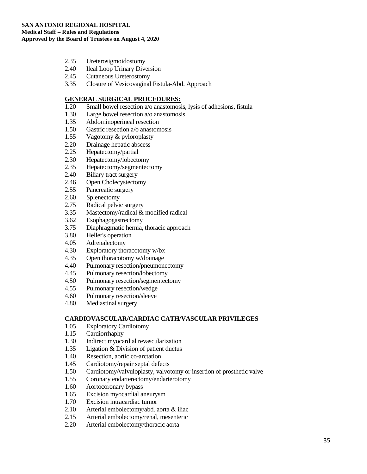- 2.35 Ureterosigmoidostomy
- 2.40 Ileal Loop Urinary Diversion
- 2.45 Cutaneous Ureterostomy
- 3.35 Closure of Vesicovaginal Fistula-Abd. Approach

#### **GENERAL SURGICAL PROCEDURES:**

- 1.20 Small bowel resection a/o anastomosis, lysis of adhesions, fistula
- 1.30 Large bowel resection a/o anastomosis
- 1.35 Abdominoperineal resection<br>1.50 Gastric resection a/o anaston
- Gastric resection a/o anastomosis
- 1.55 Vagotomy & pyloroplasty
- 2.20 Drainage hepatic abscess<br>2.25 Hepatectomy/partial
- Hepatectomy/partial
- 2.30 Hepatectomy/lobectomy
- 2.35 Hepatectomy/segmentectomy
- 2.40 Biliary tract surgery
- 2.46 Open Cholecystectomy
- 2.55 Pancreatic surgery
- 2.60 Splenectomy<br>2.75 Radical pelvi
- Radical pelvic surgery
- 3.35 Mastectomy/radical & modified radical
- 3.62 Esophagogastrectomy
- 3.75 Diaphragmatic hernia, thoracic approach
- 3.80 Heller's operation
- 4.05 Adrenalectomy
- 4.30 Exploratory thoracotomy w/bx
- 4.35 Open thoracotomy w/drainage
- 4.40 Pulmonary resection/pneumonectomy
- 4.45 Pulmonary resection/lobectomy
- 4.50 Pulmonary resection/segmentectomy
- 4.55 Pulmonary resection/wedge
- 4.60 Pulmonary resection/sleeve
- 4.80 Mediastinal surgery

# **CARDIOVASCULAR/CARDIAC CATH/VASCULAR PRIVILEGES**

- 1.05 Exploratory Cardiotomy
- 1.15 Cardiorrhaphy
- 1.30 Indirect myocardial revascularization
- 1.35 Ligation & Division of patient ductus
- 1.40 Resection, aortic co-arctation
- 1.45 Cardiotomy/repair septal defects
- 1.50 Cardiotomy/valvuloplasty, valvotomy or insertion of prosthetic valve<br>1.55 Coronary endarterectomy/endarterotomy
- Coronary endarterectomy/endarterotomy
- 1.60 Aortocoronary bypass
- 1.65 Excision myocardial aneurysm
- 1.70 Excision intracardiac tumor
- 2.10 Arterial embolectomy/abd. aorta & iliac
- 2.15 Arterial embolectomy/renal, mesenteric
- 2.20 Arterial embolectomy/thoracic aorta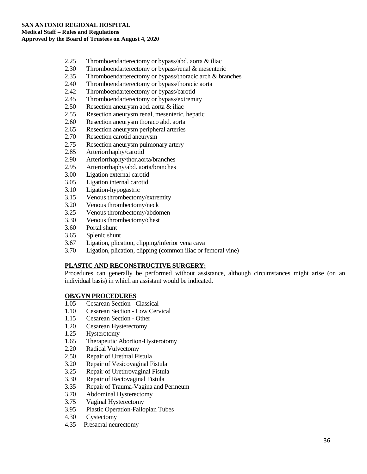- 2.25 Thromboendarterectomy or bypass/abd. aorta & iliac
- 2.30 Thromboendarterectomy or bypass/renal & mesenteric
- 2.35 Thromboendarterectomy or bypass/thoracic arch & branches
- 2.40 Thromboendarterectomy or bypass/thoracic aorta
- 2.42 Thromboendarterectomy or bypass/carotid
- 2.45 Thromboendarterectomy or bypass/extremity
- 2.50 Resection aneurysm abd. aorta & iliac
- 2.55 Resection aneurysm renal, mesenteric, hepatic
- 2.60 Resection aneurysm thoraco abd. aorta<br>2.65 Resection aneurysm peripheral arteries
- Resection aneurysm peripheral arteries
- 2.70 Resection carotid aneurysm
- 2.75 Resection aneurysm pulmonary artery<br>2.85 Arteriorrhaphy/carotid
- Arteriorrhaphy/carotid
- 2.90 Arteriorrhaphy/thor.aorta/branches
- 2.95 Arteriorrhaphy/abd. aorta/branches
- 3.00 Ligation external carotid
- 3.05 Ligation internal carotid
- 3.10 Ligation-hypogastric
- 3.15 Venous thrombectomy/extremity
- 3.20 Venous thrombectomy/neck
- 3.25 Venous thrombectomy/abdomen
- 3.30 Venous thrombectomy/chest
- 3.60 Portal shunt
- 3.65 Splenic shunt
- 3.67 Ligation, plication, clipping/inferior vena cava
- 3.70 Ligation, plication, clipping (common iliac or femoral vine)

# **PLASTIC AND RECONSTRUCTIVE SURGERY:**

Procedures can generally be performed without assistance, although circumstances might arise (on an individual basis) in which an assistant would be indicated.

#### **OB/GYN PROCEDURES**

- 1.05 Cesarean Section Classical
- 1.10 Cesarean Section Low Cervical
- 1.15 Cesarean Section Other
- 1.20 Cesarean Hysterectomy
- 1.25 Hysterotomy
- 1.65 Therapeutic Abortion-Hysterotomy
- 2.20 Radical Vulvectomy
- 2.50 Repair of Urethral Fistula
- 3.20 Repair of Vesicovaginal Fistula
- 
- 3.25 Repair of Urethrovaginal Fistula<br>3.30 Repair of Rectovaginal Fistula 3.30 Repair of Rectovaginal Fistula
- 3.35 Repair of Trauma-Vagina and Perineum
- 3.70 Abdominal Hysterectomy
- 3.75 Vaginal Hysterectomy
- 3.95 Plastic Operation-Fallopian Tubes
- 4.30 Cystectomy
- 4.35 Presacral neurectomy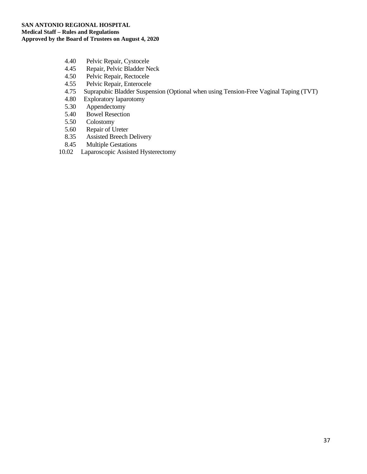- 4.40 Pelvic Repair, Cystocele
- 4.45 Repair, Pelvic Bladder Neck
- 4.50 Pelvic Repair, Rectocele
- 4.55 Pelvic Repair, Enterocele<br>4.75 Suprapubic Bladder Susper
- 4.75 Suprapubic Bladder Suspension (Optional when using Tension-Free Vaginal Taping (TVT)
- Exploratory laparotomy
- 5.30 Appendectomy
- 5.40 Bowel Resection
- 5.50 Colostomy<br>5.60 Repair of U
- 5.60 Repair of Ureter
- 8.35 Assisted Breech Delivery
- 8.45 Multiple Gestations
- 10.02 Laparoscopic Assisted Hysterectomy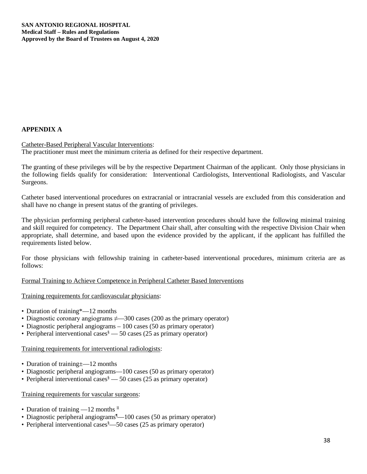# **APPENDIX A**

Catheter-Based Peripheral Vascular Interventions: The practitioner must meet the minimum criteria as defined for their respective department.

The granting of these privileges will be by the respective Department Chairman of the applicant. Only those physicians in the following fields qualify for consideration: Interventional Cardiologists, Interventional Radiologists, and Vascular Surgeons.

Catheter based interventional procedures on extracranial or intracranial vessels are excluded from this consideration and shall have no change in present status of the granting of privileges.

The physician performing peripheral catheter-based intervention procedures should have the following minimal training and skill required for competency. The Department Chair shall, after consulting with the respective Division Chair when appropriate, shall determine, and based upon the evidence provided by the applicant, if the applicant has fulfilled the requirements listed below.

For those physicians with fellowship training in catheter-based interventional procedures, minimum criteria are as follows:

Formal Training to Achieve Competence in Peripheral Catheter Based Interventions

Training requirements for cardiovascular physicians:

- Duration of training\*—12 months
- Diagnostic coronary angiograms  $\neq$  300 cases (200 as the primary operator)
- Diagnostic peripheral angiograms 100 cases (50 as primary operator)
- Peripheral interventional cases  $\delta$  50 cases (25 as primary operator)

Training requirements for interventional radiologists:

- Duration of training  $\pm$  -12 months
- Diagnostic peripheral angiograms—100 cases (50 as primary operator)
- Peripheral interventional cases  $\overset{\text{8}}{ }-50$  cases (25 as primary operator)

Training requirements for vascular surgeons:

- Duration of training  $-12$  months  $\textsuperscript{II}$
- Diagnostic peripheral angiograms <sup>1</sup> 100 cases (50 as primary operator)
- Peripheral interventional cases<sup>§</sup> -50 cases (25 as primary operator)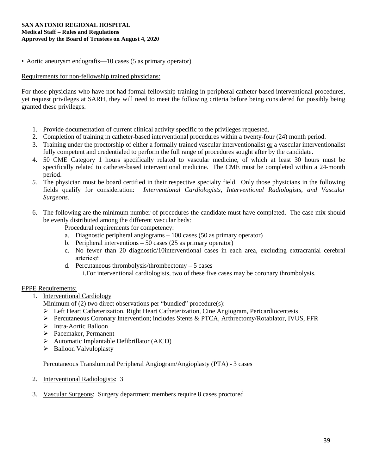#### **SAN ANTONIO REGIONAL HOSPITAL Medical Staff – Rules and Regulations Approved by the Board of Trustees on August 4, 2020**

• Aortic aneurysm endografts—10 cases (5 as primary operator)

# Requirements for non-fellowship trained physicians:

For those physicians who have not had formal fellowship training in peripheral catheter-based interventional procedures, yet request privileges at SARH, they will need to meet the following criteria before being considered for possibly being granted these privileges.

- 1. Provide documentation of current clinical activity specific to the privileges requested.
- 2. Completion of training in catheter-based interventional procedures within a twenty-four (24) month period.
- 3. Training under the proctorship of either a formally trained vascular interventionalist or a vascular interventionalist fully competent and credentialed to perform the full range of procedures sought after by the candidate.
- 4. 50 CME Category 1 hours specifically related to vascular medicine, of which at least 30 hours must be specifically related to catheter-based interventional medicine. The CME must be completed within a 24-month period.
- *5.* The physician must be board certified in their respective specialty field. Only those physicians in the following fields qualify for consideration: *Interventional Cardiologists, Interventional Radiologists, and Vascular Surgeons.*
- 6. The following are the minimum number of procedures the candidate must have completed. The case mix should be evenly distributed among the different vascular beds:

Procedural requirements for competency:

- a. Diagnostic peripheral angiograms 100 cases (50 as primary operator)
- b. Peripheral interventions 50 cases (25 as primary operator)
- c. No fewer than 20 diagnostic/10interventional cases in each area, excluding extracranial cerebral arteries≠
- d. Percutaneous thrombolysis/thrombectomy 5 cases
	- i.For interventional cardiologists, two of these five cases may be coronary thrombolysis.

# FPPE Requirements:

- 1. Interventional Cardiology
	- Minimum of (2) two direct observations per "bundled" procedure(s):
	- Left Heart Catheterization, Right Heart Catheterization, Cine Angiogram, Pericardiocentesis
	- $\triangleright$  Percutaneous Coronary Intervention; includes Stents & PTCA, Arthrectomy/Rotablator, IVUS, FFR
	- Intra-Aortic Balloon
	- Pacemaker, Permanent
	- $\triangleright$  Automatic Implantable Defibrillator (AICD)
	- $\triangleright$  Balloon Valvuloplasty

Percutaneous Transluminal Peripheral Angiogram/Angioplasty (PTA) - 3 cases

- 2. Interventional Radiologists: 3
- 3. Vascular Surgeons: Surgery department members require 8 cases proctored